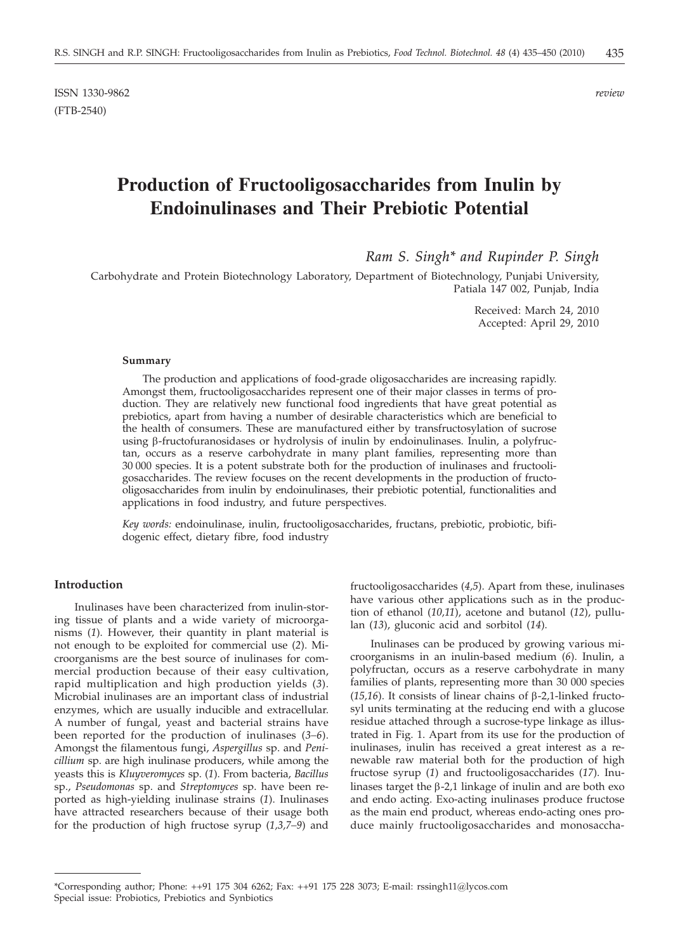ISSN 1330-9862 *review* (FTB-2540)

# **Production of Fructooligosaccharides from Inulin by Endoinulinases and Their Prebiotic Potential**

*Ram S. Singh\* and Rupinder P. Singh*

Carbohydrate and Protein Biotechnology Laboratory, Department of Biotechnology, Punjabi University, Patiala 147 002, Punjab, India

> Received: March 24, 2010 Accepted: April 29, 2010

#### **Summary**

The production and applications of food-grade oligosaccharides are increasing rapidly. Amongst them, fructooligosaccharides represent one of their major classes in terms of production. They are relatively new functional food ingredients that have great potential as prebiotics, apart from having a number of desirable characteristics which are beneficial to the health of consumers. These are manufactured either by transfructosylation of sucrose using b-fructofuranosidases or hydrolysis of inulin by endoinulinases. Inulin, a polyfructan, occurs as a reserve carbohydrate in many plant families, representing more than 30 000 species. It is a potent substrate both for the production of inulinases and fructooligosaccharides. The review focuses on the recent developments in the production of fructooligosaccharides from inulin by endoinulinases, their prebiotic potential, functionalities and applications in food industry, and future perspectives.

*Key words:* endoinulinase, inulin, fructooligosaccharides, fructans, prebiotic, probiotic, bifidogenic effect, dietary fibre, food industry

## **Introduction**

Inulinases have been characterized from inulin-storing tissue of plants and a wide variety of microorganisms (*1*). However, their quantity in plant material is not enough to be exploited for commercial use (*2*). Microorganisms are the best source of inulinases for commercial production because of their easy cultivation, rapid multiplication and high production yields (*3*). Microbial inulinases are an important class of industrial enzymes, which are usually inducible and extracellular. A number of fungal, yeast and bacterial strains have been reported for the production of inulinases (*3–6*). Amongst the filamentous fungi, *Aspergillus* sp. and *Penicillium* sp. are high inulinase producers, while among the yeasts this is *Kluyveromyces* sp. (*1*). From bacteria, *Bacillus* sp., *Pseudomonas* sp. and *Streptomyces* sp. have been reported as high-yielding inulinase strains (*1*). Inulinases have attracted researchers because of their usage both for the production of high fructose syrup (*1,3,7–9*) and

fructooligosaccharides (*4,5*). Apart from these, inulinases have various other applications such as in the production of ethanol (*10,11*), acetone and butanol (*12*), pullulan (*13*), gluconic acid and sorbitol (*14*).

Inulinases can be produced by growing various microorganisms in an inulin-based medium (*6*). Inulin, a polyfructan, occurs as a reserve carbohydrate in many families of plants, representing more than 30 000 species ( $15,16$ ). It consists of linear chains of  $\beta$ -2,1-linked fructosyl units terminating at the reducing end with a glucose residue attached through a sucrose-type linkage as illustrated in Fig. 1. Apart from its use for the production of inulinases, inulin has received a great interest as a renewable raw material both for the production of high fructose syrup (*1*) and fructooligosaccharides (*17*). Inulinases target the  $\beta$ -2,1 linkage of inulin and are both exo and endo acting. Exo-acting inulinases produce fructose as the main end product, whereas endo-acting ones produce mainly fructooligosaccharides and monosaccha-

<sup>\*</sup>Corresponding author; Phone: ++91 175 304 6262; Fax: ++91 175 228 3073; E-mail: rssingh11@lycos.com Special issue: Probiotics, Prebiotics and Synbiotics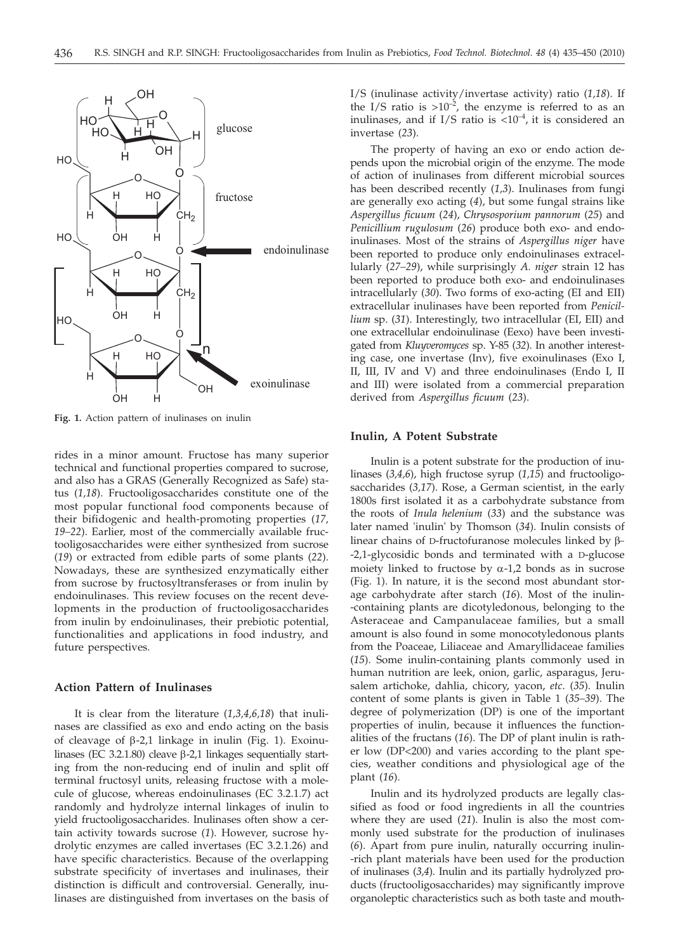

**Fig. 1.** Action pattern of inulinases on inulin

rides in a minor amount. Fructose has many superior technical and functional properties compared to sucrose, and also has a GRAS (Generally Recognized as Safe) status (*1,18*). Fructooligosaccharides constitute one of the most popular functional food components because of their bifidogenic and health-promoting properties (*17, 19–22*). Earlier, most of the commercially available fructooligosaccharides were either synthesized from sucrose (*19*) or extracted from edible parts of some plants (*22*). Nowadays, these are synthesized enzymatically either from sucrose by fructosyltransferases or from inulin by endoinulinases. This review focuses on the recent developments in the production of fructooligosaccharides from inulin by endoinulinases, their prebiotic potential, functionalities and applications in food industry, and future perspectives.

## **Action Pattern of Inulinases**

It is clear from the literature (*1,3,4,6,18*) that inulinases are classified as exo and endo acting on the basis of cleavage of  $\beta$ -2,1 linkage in inulin (Fig. 1). Exoinulinases (EC 3.2.1.80) cleave  $\beta$ -2,1 linkages sequentially starting from the non-reducing end of inulin and split off terminal fructosyl units, releasing fructose with a molecule of glucose, whereas endoinulinases (EC 3.2.1.7) act randomly and hydrolyze internal linkages of inulin to yield fructooligosaccharides. Inulinases often show a certain activity towards sucrose (*1*). However, sucrose hydrolytic enzymes are called invertases (EC 3.2.1.26) and have specific characteristics. Because of the overlapping substrate specificity of invertases and inulinases, their distinction is difficult and controversial. Generally, inulinases are distinguished from invertases on the basis of I/S (inulinase activity/invertase activity) ratio (*1,18*). If the I/S ratio is  $>10^{-2}$ , the enzyme is referred to as an inulinases, and if I/S ratio is  $<10^{-4}$ , it is considered an invertase (*23*).

The property of having an exo or endo action depends upon the microbial origin of the enzyme. The mode of action of inulinases from different microbial sources has been described recently (*1,3*). Inulinases from fungi are generally exo acting (*4*), but some fungal strains like *Aspergillus ficuum* (*24*), *Chrysosporium pannorum* (*25*) and *Penicillium rugulosum* (*26*) produce both exo- and endoinulinases. Most of the strains of *Aspergillus niger* have been reported to produce only endoinulinases extracellularly (*27–29*), while surprisingly *A. niger* strain 12 has been reported to produce both exo- and endoinulinases intracellularly (*30*). Two forms of exo-acting (EI and EII) extracellular inulinases have been reported from *Penicillium* sp. (*31*). Interestingly, two intracellular (EI, EII) and one extracellular endoinulinase (Eexo) have been investigated from *Kluyveromyces* sp. Y-85 (*32*). In another interesting case, one invertase (Inv), five exoinulinases (Exo I, II, III, IV and V) and three endoinulinases (Endo I, II and III) were isolated from a commercial preparation derived from *Aspergillus ficuum* (*23*).

#### **Inulin, A Potent Substrate**

Inulin is a potent substrate for the production of inulinases (*3,4,6*), high fructose syrup (*1,15*) and fructooligosaccharides (*3,17*). Rose, a German scientist, in the early 1800s first isolated it as a carbohydrate substance from the roots of *Inula helenium* (*33*) and the substance was later named 'inulin' by Thomson (*34*). Inulin consists of linear chains of D-fructofuranose molecules linked by  $\beta$ --2,1-glycosidic bonds and terminated with a D-glucose moiety linked to fructose by  $\alpha$ -1,2 bonds as in sucrose (Fig. 1). In nature, it is the second most abundant storage carbohydrate after starch (*16*). Most of the inulin- -containing plants are dicotyledonous, belonging to the Asteraceae and Campanulaceae families, but a small amount is also found in some monocotyledonous plants from the Poaceae, Liliaceae and Amaryllidaceae families (*15*). Some inulin-containing plants commonly used in human nutrition are leek, onion, garlic, asparagus, Jerusalem artichoke, dahlia, chicory, yacon, *etc*. (*35*). Inulin content of some plants is given in Table 1 (*35–39*). The degree of polymerization (DP) is one of the important properties of inulin, because it influences the functionalities of the fructans (*16*). The DP of plant inulin is rather low (DP<200) and varies according to the plant species, weather conditions and physiological age of the plant (*16*).

Inulin and its hydrolyzed products are legally classified as food or food ingredients in all the countries where they are used (*21*). Inulin is also the most commonly used substrate for the production of inulinases (*6*). Apart from pure inulin, naturally occurring inulin- -rich plant materials have been used for the production of inulinases (*3,4*). Inulin and its partially hydrolyzed products (fructooligosaccharides) may significantly improve organoleptic characteristics such as both taste and mouth-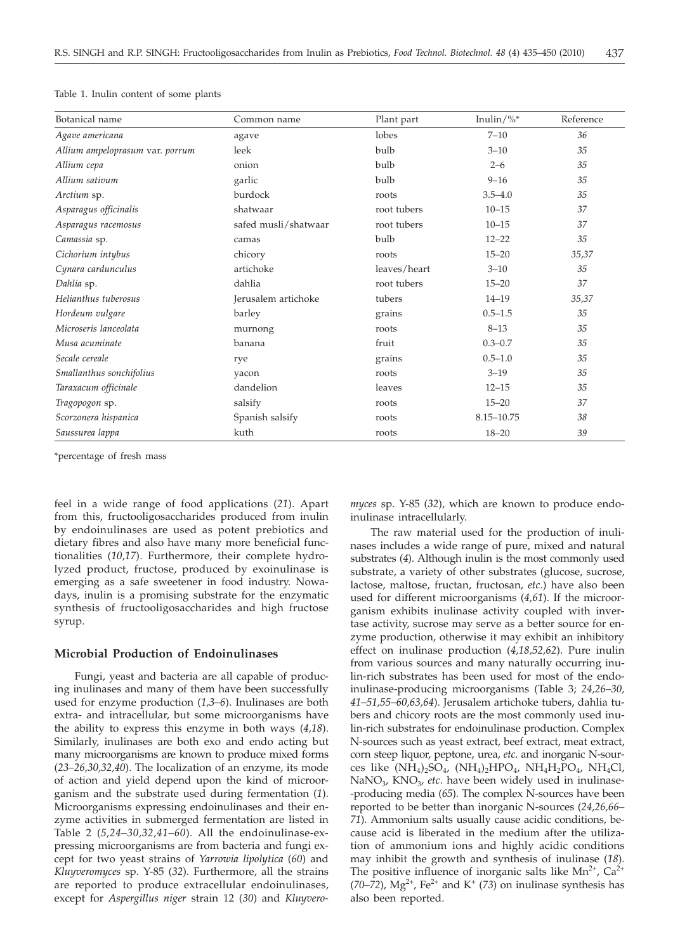| Botanical name                  | Common name          | Plant part   | Inulin/%*      | Reference |
|---------------------------------|----------------------|--------------|----------------|-----------|
| Agave americana                 | agave                | lobes        | $7 - 10$       | 36        |
| Allium ampeloprasum var. porrum | leek                 | bulb         | $3 - 10$       | 35        |
| Allium cepa                     | onion                | bulb         | $2 - 6$        | 35        |
| Allium sativum                  | garlic               | bulb         | $9 - 16$       | 35        |
| Arctium sp.                     | burdock              | roots        | $3.5 - 4.0$    | 35        |
| Asparagus officinalis           | shatwaar             | root tubers  | $10 - 15$      | 37        |
| Asparagus racemosus             | safed musli/shatwaar | root tubers  | $10 - 15$      | 37        |
| Camassia sp.                    | camas                | bulb         | $12 - 22$      | 35        |
| Cichorium intybus               | chicory              | roots        | $15 - 20$      | 35,37     |
| Cynara cardunculus              | artichoke            | leaves/heart | $3 - 10$       | 35        |
| Dahlia sp.                      | dahlia               | root tubers  | $15 - 20$      | 37        |
| Helianthus tuberosus            | Jerusalem artichoke  | tubers       | $14 - 19$      | 35,37     |
| Hordeum vulgare                 | barley               | grains       | $0.5 - 1.5$    | 35        |
| Microseris lanceolata           | murnong              | roots        | $8 - 13$       | 35        |
| Musa acuminate                  | banana               | fruit        | $0.3 - 0.7$    | 35        |
| Secale cereale                  | rye                  | grains       | $0.5 - 1.0$    | 35        |
| Smallanthus sonchifolius        | yacon                | roots        | $3 - 19$       | 35        |
| Taraxacum officinale            | dandelion            | leaves       | $12 - 15$      | 35        |
| Tragopogon sp.                  | salsify              | roots        | $15 - 20$      | 37        |
| Scorzonera hispanica            | Spanish salsify      | roots        | $8.15 - 10.75$ | 38        |
| Saussurea lappa                 | kuth                 | roots        | $18 - 20$      | 39        |

Table 1. Inulin content of some plants

\*percentage of fresh mass

feel in a wide range of food applications (*21*). Apart from this, fructooligosaccharides produced from inulin by endoinulinases are used as potent prebiotics and dietary fibres and also have many more beneficial functionalities (*10,17*). Furthermore, their complete hydrolyzed product, fructose, produced by exoinulinase is emerging as a safe sweetener in food industry. Nowadays, inulin is a promising substrate for the enzymatic synthesis of fructooligosaccharides and high fructose syrup.

## **Microbial Production of Endoinulinases**

Fungi, yeast and bacteria are all capable of producing inulinases and many of them have been successfully used for enzyme production (*1,3–6*). Inulinases are both extra- and intracellular, but some microorganisms have the ability to express this enzyme in both ways (*4,18*). Similarly, inulinases are both exo and endo acting but many microorganisms are known to produce mixed forms (*23–26,30,32,40*). The localization of an enzyme, its mode of action and yield depend upon the kind of microorganism and the substrate used during fermentation (*1*). Microorganisms expressing endoinulinases and their enzyme activities in submerged fermentation are listed in Table 2 (*5,24–30,32,41–60*). All the endoinulinase-expressing microorganisms are from bacteria and fungi except for two yeast strains of *Yarrowia lipolytica* (*60*) and *Kluyveromyces* sp. Y-85 (*32*). Furthermore, all the strains are reported to produce extracellular endoinulinases, except for *Aspergillus niger* strain 12 (*30*) and *Kluyvero-* *myces* sp. Y-85 (*32*), which are known to produce endoinulinase intracellularly.

The raw material used for the production of inulinases includes a wide range of pure, mixed and natural substrates (*4*). Although inulin is the most commonly used substrate, a variety of other substrates (glucose, sucrose, lactose, maltose, fructan, fructosan, *etc*.) have also been used for different microorganisms (*4,61*). If the microorganism exhibits inulinase activity coupled with invertase activity, sucrose may serve as a better source for enzyme production, otherwise it may exhibit an inhibitory effect on inulinase production (*4,18,52,62*). Pure inulin from various sources and many naturally occurring inulin-rich substrates has been used for most of the endoinulinase-producing microorganisms (Table 3; *24,26–30, 41–51,55–60,63,64*). Jerusalem artichoke tubers, dahlia tubers and chicory roots are the most commonly used inulin-rich substrates for endoinulinase production. Complex N-sources such as yeast extract, beef extract, meat extract, corn steep liquor, peptone, urea, *etc*. and inorganic N-sources like  $(NH_4)_2SO_4$ ,  $(NH_4)_2HPO_4$ ,  $NH_4H_2PO_4$ ,  $NH_4Cl$ , NaNO3, KNO3, *etc*. have been widely used in inulinase- -producing media (*65*). The complex N-sources have been reported to be better than inorganic N-sources (*24,26,66– 71*). Ammonium salts usually cause acidic conditions, because acid is liberated in the medium after the utilization of ammonium ions and highly acidic conditions may inhibit the growth and synthesis of inulinase (*18*). The positive influence of inorganic salts like  $Mn^{2+}$ , Ca<sup>2+</sup> (*70–72*),  $Mg^{2+}$ , Fe<sup>2+</sup> and K<sup>+</sup> (*73*) on inulinase synthesis has also been reported.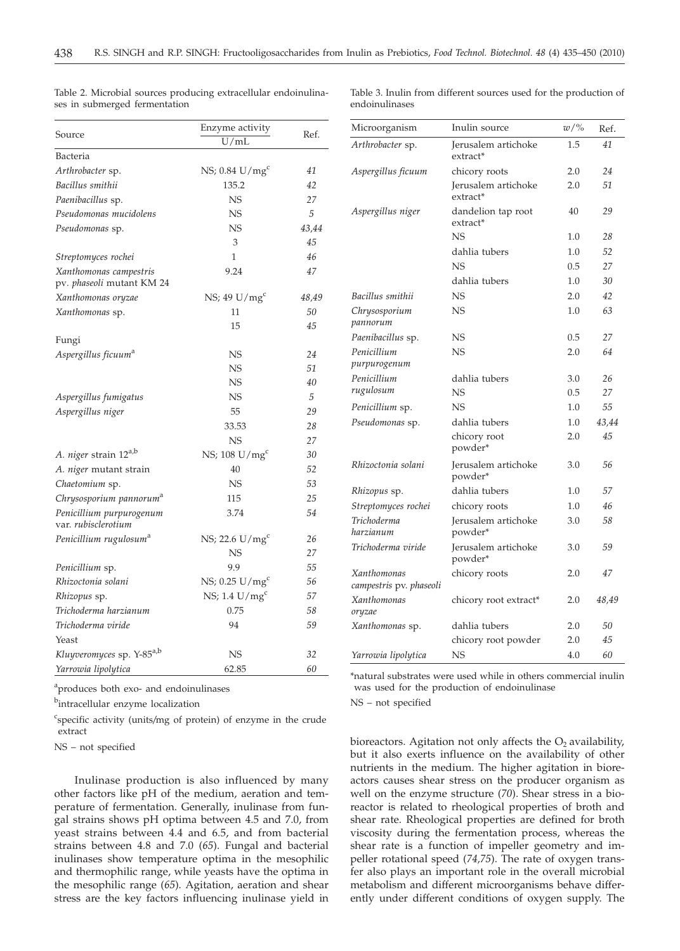|                                                     | Enzyme activity              | Ref.  |  |
|-----------------------------------------------------|------------------------------|-------|--|
| Source                                              | U/mL                         |       |  |
| Bacteria                                            |                              |       |  |
| Arthrobacter sp.                                    | NS; $0.84$ U/mg <sup>c</sup> | 41    |  |
| Bacillus smithii                                    | 135.2                        | 42    |  |
| Paenibacillus sp.                                   | NS                           | 27    |  |
| Pseudomonas mucidolens                              | <b>NS</b>                    | 5     |  |
| Pseudomonas sp.                                     | <b>NS</b>                    | 43,44 |  |
|                                                     | 3                            | 45    |  |
| Streptomyces rochei                                 | 1                            | 46    |  |
| Xanthomonas campestris<br>pv. phaseoli mutant KM 24 | 9.24                         | 47    |  |
| Xanthomonas oryzae                                  | $NS$ ; 49 U/mg <sup>c</sup>  | 48,49 |  |
| Xanthomonas sp.                                     | 11                           | 50    |  |
|                                                     | 15                           | 45    |  |
| Fungi                                               |                              |       |  |
| Aspergillus ficuum <sup>a</sup>                     | <b>NS</b>                    | 24    |  |
|                                                     | <b>NS</b>                    | 51    |  |
|                                                     | <b>NS</b>                    | 40    |  |
| Aspergillus fumigatus                               | NS                           | 5     |  |
| Aspergillus niger                                   | 55                           | 29    |  |
|                                                     | 33.53                        | 28    |  |
|                                                     | <b>NS</b>                    | 27    |  |
| A. niger strain 12 <sup>a,b</sup>                   | NS; $108 \text{ U/mg}^c$     | 30    |  |
| A. niger mutant strain                              | 40                           | 52    |  |
| Chaetomium sp.                                      | NS                           | 53    |  |
| Chrysosporium pannorum <sup>a</sup>                 | 115                          | 25    |  |
| Penicillium purpurogenum<br>var. rubisclerotium     | 3.74                         | 54    |  |
| Penicillium rugulosum <sup>a</sup>                  | NS; 22.6 U/mg <sup>c</sup>   | 26    |  |
|                                                     | <b>NS</b>                    | 27    |  |
| Penicillium sp.                                     | 9.9                          | 55    |  |
| Rhizoctonia solani                                  | NS; $0.25$ U/mg <sup>c</sup> | 56    |  |
| Rhizopus sp.                                        | NS; 1.4 $U/mg^c$             | 57    |  |
| Trichoderma harzianum                               | 0.75                         | 58    |  |
| Trichoderma viride                                  | 94                           | 59    |  |
| Yeast                                               |                              |       |  |
| Kluyveromyces sp. Y-85 <sup>a,b</sup>               | <b>NS</b>                    | 32    |  |
| Yarrowia lipolytica                                 | 62.85                        | 60    |  |

Table 2. Microbial sources producing extracellular endoinulinases in submerged fermentation

Table 3. Inulin from different sources used for the production of endoinulinases

Microorganism Inulin source *w*/% Ref.

Jerusalem artichoke

1.5 *41*

*24 51*

*29*

*28*

*26 27*

*43,44 45*

2.0 2.0

40

1.0

3.0 0.5

1.0  $2.0$ 

3.0 *56*

3.0 *58*

3.0 *59*

dahlia tubers 1.0 *52* NS 0.5 *27* dahlia tubers 1.0 *30*

NS 1.0 *63*

NS 2.0 *64*

chicory roots 2.0 *47*

chicory root extract\* 2.0 *48,49*

extract\*

extract\*

extract\* NS

*Bacillus smithii* NS 2.0 *42*

*Paenibacillus* sp.  $NS$  0.5 27

dahlia tubers

*Penicillium* sp.  $\text{NS}$  1.0 55

chicory root powder\*

*Rhizopus* sp. dahlia tubers 1.0 *57 Streptomyces rochei* chicory roots 1.0 *46*

Jerusalem artichoke

powder\*

powder\*

powder\*

NS

*Pseudomonas* sp. dahlia tubers

*Rhizoctonia solani* Jerusalem artichoke

*Trichoderma viride* Jerusalem artichoke

*Arthrobacter* sp. Jerusalem artichoke

*Aspergillus niger* dandelion tap root

*Aspergillus ficuum* chicory roots

*Chrysosporium pannorum*

*Penicillium purpurogenum*

*Penicillium rugulosum*

*Trichoderma harzianum*

*Xanthomonas campestris* pv. *phaseoli*

*Xanthomonas oryzae*

*Xanthomonas* sp. dahlia tubers chicory root powder 2.0 2.0 *50 45 Yarrowia lipolytica* NS 4.0 *60* \*natural substrates were used while in others commercial inulin was used for the production of endoinulinase NS – not specified

bioreactors. Agitation not only affects the  $O_2$  availability, but it also exerts influence on the availability of other nutrients in the medium. The higher agitation in bioreactors causes shear stress on the producer organism as well on the enzyme structure (*70*). Shear stress in a bioreactor is related to rheological properties of broth and shear rate. Rheological properties are defined for broth viscosity during the fermentation process, whereas the shear rate is a function of impeller geometry and impeller rotational speed (*74,75*). The rate of oxygen transfer also plays an important role in the overall microbial metabolism and different microorganisms behave differently under different conditions of oxygen supply. The

<sup>a</sup>produces both exo- and endoinulinases

<sup>b</sup>intracellular enzyme localization

c specific activity (units*/*mg of protein) of enzyme in the crude extract

NS – not specified

Inulinase production is also influenced by many other factors like pH of the medium, aeration and temperature of fermentation. Generally, inulinase from fungal strains shows pH optima between 4.5 and 7.0, from yeast strains between 4.4 and 6.5, and from bacterial strains between 4.8 and 7.0 (*65*). Fungal and bacterial inulinases show temperature optima in the mesophilic and thermophilic range, while yeasts have the optima in the mesophilic range (*65*). Agitation, aeration and shear stress are the key factors influencing inulinase yield in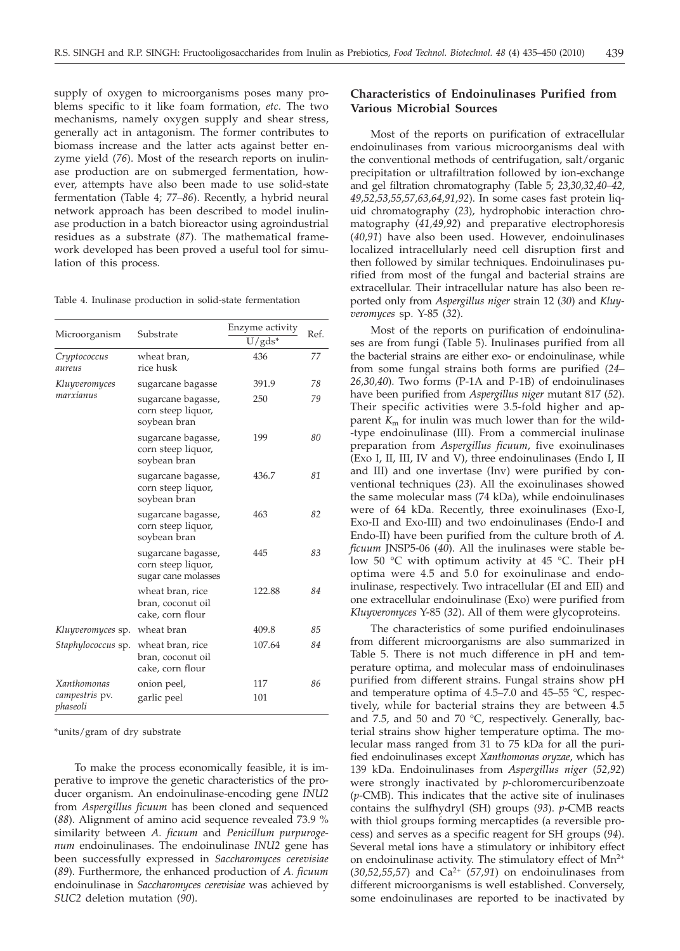supply of oxygen to microorganisms poses many problems specific to it like foam formation, *etc*. The two mechanisms, namely oxygen supply and shear stress, generally act in antagonism. The former contributes to biomass increase and the latter acts against better enzyme yield (*76*). Most of the research reports on inulinase production are on submerged fermentation, however, attempts have also been made to use solid-state fermentation (Table 4; *77–86*). Recently, a hybrid neural network approach has been described to model inulinase production in a batch bioreactor using agroindustrial residues as a substrate (*87*). The mathematical framework developed has been proved a useful tool for simulation of this process.

Table 4. Inulinase production in solid-state fermentation

| Microorganism                                            | Substrate                                                       | Enzyme activity<br>$U/gds^*$ | Ref. |  |
|----------------------------------------------------------|-----------------------------------------------------------------|------------------------------|------|--|
| Cryptococcus<br>aureus                                   | wheat bran,<br>rice husk                                        | 436                          | 77   |  |
| Kluyveromyces                                            | sugarcane bagasse                                               | 391.9                        | 78   |  |
| marxianus                                                | sugarcane bagasse,<br>corn steep liquor,<br>soybean bran        | 250                          | 79   |  |
| sugarcane bagasse,<br>corn steep liquor,<br>soybean bran |                                                                 | 199                          | 80   |  |
|                                                          | sugarcane bagasse,<br>corn steep liquor,<br>soybean bran        | 436.7                        | 81   |  |
|                                                          | sugarcane bagasse,<br>corn steep liquor,<br>soybean bran        | 463                          | 82   |  |
|                                                          | sugarcane bagasse,<br>corn steep liquor,<br>sugar cane molasses | 445                          | 83   |  |
|                                                          | wheat bran, rice<br>bran, coconut oil<br>cake, corn flour       | 122.88                       | 84   |  |
| Kluyveromyces sp.                                        | wheat bran                                                      | 409.8                        | 85   |  |
| Staphylococcus sp.                                       | wheat bran, rice<br>bran, coconut oil<br>cake, corn flour       | 107.64                       | 84   |  |
| <b>Xanthomonas</b>                                       | onion peel,                                                     | 117                          | 86   |  |
| campestris pv.<br>phaseoli                               | garlic peel                                                     | 101                          |      |  |

\*units/gram of dry substrate

To make the process economically feasible, it is imperative to improve the genetic characteristics of the producer organism. An endoinulinase-encoding gene *INU2* from *Aspergillus ficuum* has been cloned and sequenced (*88*). Alignment of amino acid sequence revealed 73.9 % similarity between *A. ficuum* and *Penicillum purpurogenum* endoinulinases. The endoinulinase *INU2* gene has been successfully expressed in *Saccharomyces cerevisiae* (*89*). Furthermore, the enhanced production of *A. ficuum* endoinulinase in *Saccharomyces cerevisiae* was achieved by *SUC2* deletion mutation (*90*).

# **Characteristics of Endoinulinases Purified from Various Microbial Sources**

Most of the reports on purification of extracellular endoinulinases from various microorganisms deal with the conventional methods of centrifugation, salt/organic precipitation or ultrafiltration followed by ion-exchange and gel filtration chromatography (Table 5; *23,30,32,40–42, 49,52,53,55,57,63,64,91,92*). In some cases fast protein liquid chromatography (*23*), hydrophobic interaction chromatography (*41,49,92*) and preparative electrophoresis (*40,91*) have also been used. However, endoinulinases localized intracellularly need cell disruption first and then followed by similar techniques. Endoinulinases purified from most of the fungal and bacterial strains are extracellular. Their intracellular nature has also been reported only from *Aspergillus niger* strain 12 (*30*) and *Kluyveromyces* sp. Y-85 (*32*).

Most of the reports on purification of endoinulinases are from fungi (Table 5). Inulinases purified from all the bacterial strains are either exo- or endoinulinase, while from some fungal strains both forms are purified (*24– 26,30,40*). Two forms (P-1A and P-1B) of endoinulinases have been purified from *Aspergillus niger* mutant 817 (*52*). Their specific activities were 3.5-fold higher and apparent  $K<sub>m</sub>$  for inulin was much lower than for the wild--type endoinulinase (III). From a commercial inulinase preparation from *Aspergillus ficuum*, five exoinulinases (Exo I, II, III, IV and V), three endoinulinases (Endo I, II and III) and one invertase (Inv) were purified by conventional techniques (*23*). All the exoinulinases showed the same molecular mass (74 kDa), while endoinulinases were of 64 kDa. Recently, three exoinulinases (Exo-I, Exo-II and Exo-III) and two endoinulinases (Endo-I and Endo-II) have been purified from the culture broth of *A. ficuum* JNSP5-06 (*40*). All the inulinases were stable below 50 °C with optimum activity at 45 °C. Their pH optima were 4.5 and 5.0 for exoinulinase and endoinulinase, respectively. Two intracellular (EI and EII) and one extracellular endoinulinase (Exo) were purified from *Kluyveromyces* Y-85 (*32*). All of them were glycoproteins.

The characteristics of some purified endoinulinases from different microorganisms are also summarized in Table 5. There is not much difference in pH and temperature optima, and molecular mass of endoinulinases purified from different strains. Fungal strains show pH and temperature optima of 4.5–7.0 and 45–55 °C, respectively, while for bacterial strains they are between 4.5 and 7.5, and 50 and 70  $^{\circ}$ C, respectively. Generally, bacterial strains show higher temperature optima. The molecular mass ranged from 31 to 75 kDa for all the purified endoinulinases except *Xanthomonas oryzae*, which has 139 kDa. Endoinulinases from *Aspergillus niger* (*52,92*) were strongly inactivated by *p*-chloromercuribenzoate (*p*-CMB). This indicates that the active site of inulinases contains the sulfhydryl (SH) groups (*93*). *p*-CMB reacts with thiol groups forming mercaptides (a reversible process) and serves as a specific reagent for SH groups (*94*). Several metal ions have a stimulatory or inhibitory effect on endoinulinase activity. The stimulatory effect of Mn<sup>2+</sup> (*30,52,55,57*) and Ca2+ (*57,91*) on endoinulinases from different microorganisms is well established. Conversely, some endoinulinases are reported to be inactivated by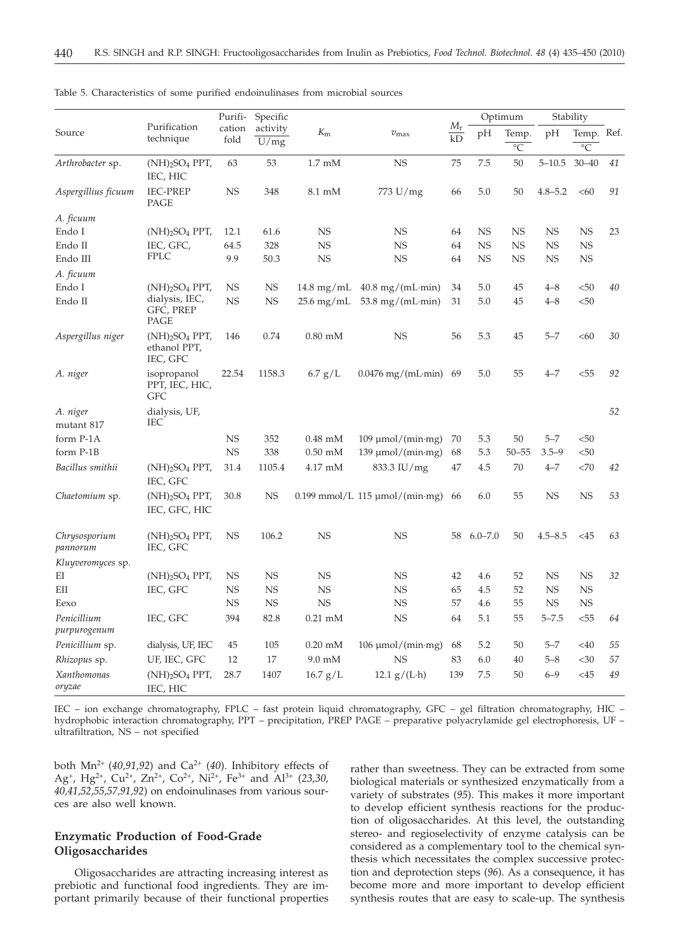|                             |                                                                      | Purifi-<br>cation<br>fold | Specific<br>activity<br>U/mg | $K_{\rm m}$               |                                       |                   | Optimum     |                    | Stability   |                         |    |
|-----------------------------|----------------------------------------------------------------------|---------------------------|------------------------------|---------------------------|---------------------------------------|-------------------|-------------|--------------------|-------------|-------------------------|----|
| Source                      | Purification<br>technique                                            |                           |                              |                           | $v_{\rm max}$                         | $M_{\rm r}$<br>kD | pH          | Temp.<br>$\circ$ C | pН          | Temp. Ref.<br>$\circ$ C |    |
| Arthrobacter sp.            | $(NH)$ <sub>2</sub> SO <sub>4</sub> PPT,<br>IEC, HIC                 | 63                        | 53                           | $1.7 \text{ }\mathrm{mM}$ | NS                                    | 75                | 7.5         | 50                 | $5 - 10.5$  | $30 - 40$               | 41 |
| Aspergillius ficuum         | <b>IEC-PREP</b><br>PAGE                                              | <b>NS</b>                 | 348                          | 8.1 mM                    | 773 U/mg                              | 66                | 5.0         | 50                 | $4.8 - 5.2$ | <60                     | 91 |
| A. ficuum                   |                                                                      |                           |                              |                           |                                       |                   |             |                    |             |                         |    |
| Endo I                      | $(NH)$ <sub>2</sub> SO <sub>4</sub> PPT,                             | 12.1                      | 61.6                         | NS                        | NS                                    | 64                | NS.         | NS                 | NS          | <b>NS</b>               | 23 |
| Endo II                     | IEC, GFC,                                                            | 64.5                      | 328                          | <b>NS</b>                 | NS                                    | 64                | <b>NS</b>   | <b>NS</b>          | NS          | <b>NS</b>               |    |
| Endo III                    | <b>FPLC</b>                                                          | 9.9                       | 50.3                         | <b>NS</b>                 | NS                                    | 64                | NS          | <b>NS</b>          | <b>NS</b>   | <b>NS</b>               |    |
| A. ficuum                   |                                                                      |                           |                              |                           |                                       |                   |             |                    |             |                         |    |
| Endo I                      | $(NH)$ <sub>2</sub> SO <sub>4</sub> PPT,                             | NS                        | NS                           | $14.8 \text{ mg/mL}$      | $40.8 \text{ mg/(mL·min)}$            | 34                | 5.0         | 45                 | $4 - 8$     | < 50                    | 40 |
| Endo II                     | dialysis, IEC,<br>GFC, PREP<br>PAGE                                  | NS                        | NS                           | 25.6 mg/mL                | $53.8 \text{ mg/(mL·min)}$            | 31                | 5.0         | 45                 | $4 - 8$     | $50$                    |    |
| Aspergillus niger           | $(NH)$ <sub>2</sub> SO <sub>4</sub> PPT,<br>ethanol PPT,<br>IEC, GFC | 146                       | 0.74                         | $0.80$ mM                 | NS                                    | 56                | 5.3         | 45                 | $5 - 7$     | < 60                    | 30 |
| A. niger                    | isopropanol<br>PPT, IEC, HIC,<br><b>GFC</b>                          | 22.54                     | 1158.3                       | $6.7$ g/L                 | $0.0476$ mg/(mL·min)                  | 69                | 5.0         | 55                 | $4 - 7$     | < 55                    | 92 |
| A. niger                    | dialysis, UF,                                                        |                           |                              |                           |                                       |                   |             |                    |             |                         | 52 |
| mutant 817                  | IEC                                                                  |                           |                              |                           |                                       |                   |             |                    |             |                         |    |
| form P-1A                   |                                                                      | <b>NS</b>                 | 352                          | $0.48$ mM                 | $109 \mu$ mol/(min·mg)                | 70                | 5.3         | 50                 | $5 - 7$     | $50$                    |    |
| form P-1B                   |                                                                      | <b>NS</b>                 | 338                          | $0.50$ mM                 | $139 \mu$ mol/(min·mg)                | 68                | 5.3         | $50 - 55$          | $3.5 - 9$   | < 50                    |    |
| Bacillus smithii            | $(NH)$ <sub>2</sub> SO <sub>4</sub> PPT,<br>IEC, GFC                 | 31.4                      | 1105.4                       | 4.17 mM                   | 833.3 IU/mg                           | 47                | 4.5         | 70                 | $4 - 7$     | <70                     | 42 |
| Chaetomium sp.              | $(NH)$ <sub>2</sub> SO <sub>4</sub> PPT,<br>IEC, GFC, HIC            | 30.8                      | NS                           |                           | $0.199$ mmol/L 115 $\mu$ mol/(min·mg) | 66                | 6.0         | 55                 | <b>NS</b>   | <b>NS</b>               | 53 |
| Chrysosporium<br>pannorum   | $(NH)$ <sub>2</sub> SO <sub>4</sub> PPT,<br>IEC, GFC                 | <b>NS</b>                 | 106.2                        | <b>NS</b>                 | NS                                    | 58                | $6.0 - 7.0$ | 50                 | $4.5 - 8.5$ | $<$ 45                  | 63 |
| Kluyveromyces sp.           |                                                                      |                           |                              |                           |                                       |                   |             |                    |             |                         |    |
| EI                          | $(NH)$ <sub>2</sub> SO <sub>4</sub> PPT,                             | <b>NS</b>                 | NS                           | NS                        | NS                                    | 42                | 4.6         | 52                 | <b>NS</b>   | <b>NS</b>               | 32 |
| EII                         | IEC, GFC                                                             | <b>NS</b>                 | NS                           | <b>NS</b>                 | NS                                    | 65                | 4.5         | 52                 | <b>NS</b>   | <b>NS</b>               |    |
| Eexo                        |                                                                      | <b>NS</b>                 | NS                           | <b>NS</b>                 | NS                                    | 57                | 4.6         | 55                 | NS          | <b>NS</b>               |    |
| Penicillium<br>purpurogenum | IEC, GFC                                                             | 394                       | 82.8                         | $0.21 \text{ mM}$         | NS                                    | 64                | 5.1         | 55                 | $5 - 7.5$   | < 55                    | 64 |
| Penicillium sp.             | dialysis, UF, IEC                                                    | 45                        | 105                          | $0.20$ mM                 | $106 \mu$ mol/(min·mg)                | 68                | 5.2         | 50                 | $5 - 7$     | $<$ 40                  | 55 |
| Rhizopus sp.                | UF, IEC, GFC                                                         | 12                        | 17                           | $9.0 \text{ mM}$          | <b>NS</b>                             | 83                | 6.0         | 40                 | $5 - 8$     | $<$ 30                  | 57 |
| Xanthomonas<br>oryzae       | $(NH)$ <sub>2</sub> SO <sub>4</sub> PPT,<br>IEC, HIC                 | 28.7                      | 1407                         | 16.7 g/L                  | $12.1$ g/(L·h)                        | 139               | 7.5         | 50                 | $6 - 9$     | $<$ 45                  | 49 |

Table 5. Characteristics of some purified endoinulinases from microbial sources

IEC – ion exchange chromatography, FPLC – fast protein liquid chromatography, GFC – gel filtration chromatography, HIC – hydrophobic interaction chromatography, PPT – precipitation, PREP PAGE – preparative polyacrylamide gel electrophoresis, UF – ultrafiltration, NS – not specified

both  $Mn^{2+}$  (40,91,92) and Ca<sup>2+</sup> (40). Inhibitory effects of Ag+, Hg2+, Cu2+, Zn2+, Co2+, Ni2+, Fe3+ and Al3+ (*23,30, 40,41,52,55,57,91,92*) on endoinulinases from various sources are also well known.

# **Enzymatic Production of Food-Grade Oligosaccharides**

Oligosaccharides are attracting increasing interest as prebiotic and functional food ingredients. They are important primarily because of their functional properties

rather than sweetness. They can be extracted from some biological materials or synthesized enzymatically from a variety of substrates (*95*). This makes it more important to develop efficient synthesis reactions for the production of oligosaccharides. At this level, the outstanding stereo- and regioselectivity of enzyme catalysis can be considered as a complementary tool to the chemical synthesis which necessitates the complex successive protection and deprotection steps (*96*). As a consequence, it has become more and more important to develop efficient synthesis routes that are easy to scale-up. The synthesis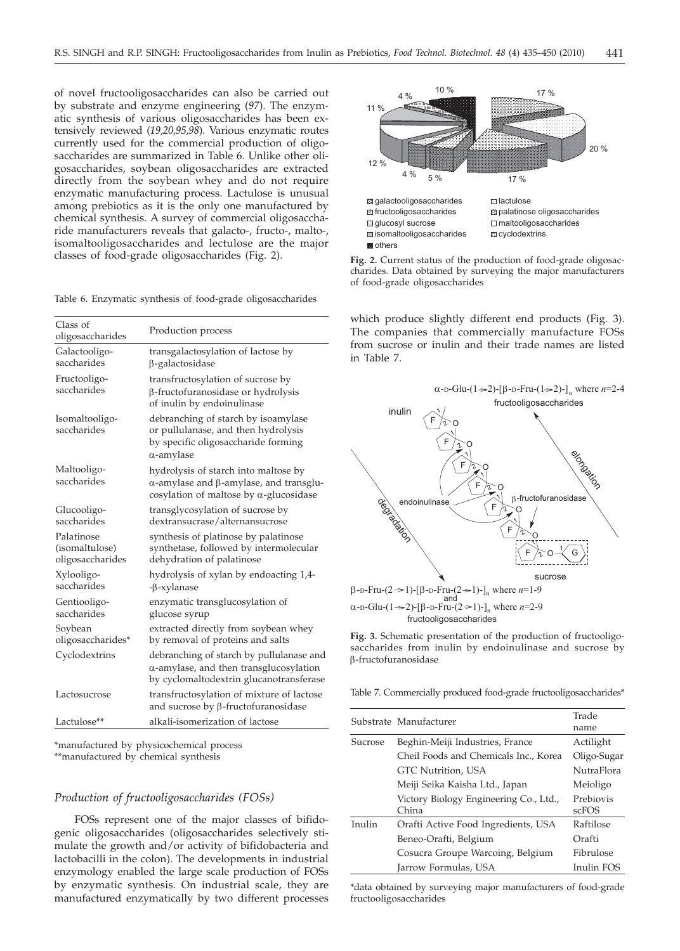of novel fructooligosaccharides can also be carried out by substrate and enzyme engineering (*97*). The enzymatic synthesis of various oligosaccharides has been extensively reviewed (*19,20,95,98*). Various enzymatic routes currently used for the commercial production of oligosaccharides are summarized in Table 6. Unlike other oligosaccharides, soybean oligosaccharides are extracted directly from the soybean whey and do not require enzymatic manufacturing process. Lactulose is unusual among prebiotics as it is the only one manufactured by chemical synthesis. A survey of commercial oligosaccharide manufacturers reveals that galacto-, fructo-, malto-, isomaltooligosaccharides and lectulose are the major classes of food-grade oligosaccharides (Fig. 2).

Table 6. Enzymatic synthesis of food-grade oligosaccharides

| Class of<br>oligosaccharides                     | Production process                                                                                                                              |
|--------------------------------------------------|-------------------------------------------------------------------------------------------------------------------------------------------------|
| Galactooligo-<br>saccharides                     | transgalactosylation of lactose by<br>β-galactosidase                                                                                           |
| Fructooligo-<br>saccharides                      | transfructosylation of sucrose by<br>β-fructofuranosidase or hydrolysis<br>of inulin by endoinulinase                                           |
| Isomaltooligo-<br>saccharides                    | debranching of starch by isoamylase<br>or pullulanase, and then hydrolysis<br>by specific oligosaccharide forming<br>$\alpha$ -amylase          |
| Maltooligo-<br>saccharides                       | hydrolysis of starch into maltose by<br>$\alpha$ -amylase and $\beta$ -amylase, and transglu-<br>cosylation of maltose by $\alpha$ -glucosidase |
| Glucooligo-<br>saccharides                       | transglycosylation of sucrose by<br>dextransucrase/alternansucrose                                                                              |
| Palatinose<br>(isomaltulose)<br>oligosaccharides | synthesis of platinose by palatinose<br>synthetase, followed by intermolecular<br>dehydration of palatinose                                     |
| Xylooligo-<br>saccharides                        | hydrolysis of xylan by endoacting 1,4-<br>$-\beta$ -xylanase                                                                                    |
| Gentiooligo-<br>saccharides                      | enzymatic transglucosylation of<br>glucose syrup                                                                                                |
| Soybean<br>oligosaccharides*                     | extracted directly from soybean whey<br>by removal of proteins and salts                                                                        |
| Cyclodextrins                                    | debranching of starch by pullulanase and<br>$\alpha$ -amylase, and then transglucosylation<br>by cyclomaltodextrin glucanotransferase           |
| Lactosucrose                                     | transfructosylation of mixture of lactose<br>and sucrose by $\beta$ -fructofuranosidase                                                         |
| Lactulose**                                      | alkali-isomerization of lactose                                                                                                                 |

\*manufactured by physicochemical process \*\*manufactured by chemical synthesis

## *Production of fructooligosaccharides (FOSs)*

FOSs represent one of the major classes of bifidogenic oligosaccharides (oligosaccharides selectively stimulate the growth and/or activity of bifidobacteria and lactobacilli in the colon). The developments in industrial enzymology enabled the large scale production of FOSs by enzymatic synthesis. On industrial scale, they are manufactured enzymatically by two different processes



**Fig. 2.** Current status of the production of food-grade oligosaccharides. Data obtained by surveying the major manufacturers of food-grade oligosaccharides

which produce slightly different end products (Fig. 3). The companies that commercially manufacture FOSs from sucrose or inulin and their trade names are listed in Table 7.



**Fig. 3.** Schematic presentation of the production of fructooligosaccharides from inulin by endoinulinase and sucrose by b-fructofuranosidase

Table 7. Commercially produced food-grade fructooligosaccharides\*

|         | Substrate Manufacturer                          | Trade<br>name             |  |
|---------|-------------------------------------------------|---------------------------|--|
| Sucrose | Beghin-Meiji Industries, France                 | Actilight                 |  |
|         | Cheil Foods and Chemicals Inc., Korea           | Oligo-Sugar               |  |
|         | GTC Nutrition, USA                              | <b>NutraFlora</b>         |  |
|         | Meiji Seika Kaisha Ltd., Japan                  | Meioligo                  |  |
|         | Victory Biology Engineering Co., Ltd.,<br>China | Prebiovis<br><b>scFOS</b> |  |
| Inulin  | Orafti Active Food Ingredients, USA             | Raftilose                 |  |
|         | Beneo-Orafti, Belgium                           | Orafti                    |  |
|         | Cosucra Groupe Warcoing, Belgium                | Fibrulose                 |  |
|         | Jarrow Formulas, USA                            | Inulin FOS                |  |

\*data obtained by surveying major manufacturers of food-grade fructooligosaccharides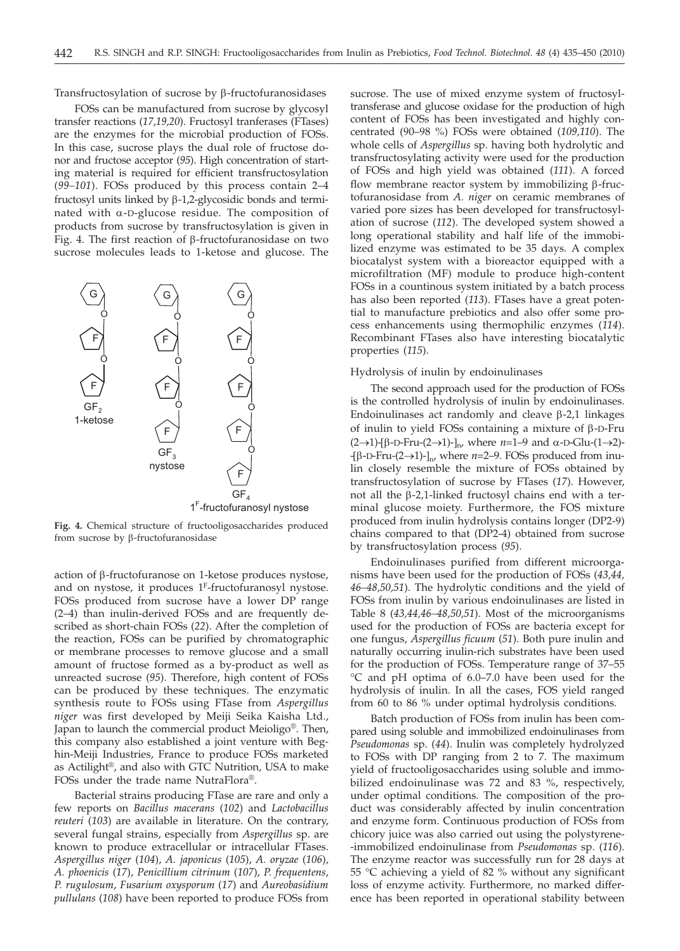Transfructosylation of sucrose by  $\beta$ -fructofuranosidases

FOSs can be manufactured from sucrose by glycosyl transfer reactions (*17,19,20*). Fructosyl tranferases (FTases) are the enzymes for the microbial production of FOSs. In this case, sucrose plays the dual role of fructose donor and fructose acceptor (*95*). High concentration of starting material is required for efficient transfructosylation (*99–101*). FOSs produced by this process contain 2–4 fructosyl units linked by  $\beta$ -1,2-glycosidic bonds and terminated with  $\alpha$ -D-glucose residue. The composition of products from sucrose by transfructosylation is given in Fig. 4. The first reaction of  $\beta$ -fructofuranosidase on two sucrose molecules leads to 1-ketose and glucose. The



**Fig. 4.** Chemical structure of fructooligosaccharides produced from sucrose by  $\beta$ -fructofuranosidase

action of b-fructofuranose on 1-ketose produces nystose, and on nystose, it produces 1F-fructofuranosyl nystose. FOSs produced from sucrose have a lower DP range (2–4) than inulin-derived FOSs and are frequently described as short-chain FOSs (*22*). After the completion of the reaction, FOSs can be purified by chromatographic or membrane processes to remove glucose and a small amount of fructose formed as a by-product as well as unreacted sucrose (*95*). Therefore, high content of FOSs can be produced by these techniques. The enzymatic synthesis route to FOSs using FTase from *Aspergillus niger* was first developed by Meiji Seika Kaisha Ltd., Japan to launch the commercial product Meioligo®. Then, this company also established a joint venture with Beghin-Meiji Industries, France to produce FOSs marketed as Actilight®, and also with GTC Nutrition, USA to make FOSs under the trade name NutraFlora®.

Bacterial strains producing FTase are rare and only a few reports on *Bacillus macerans* (*102*) and *Lactobacillus reuteri* (*103*) are available in literature. On the contrary, several fungal strains, especially from *Aspergillus* sp. are known to produce extracellular or intracellular FTases. *Aspergillus niger* (*104*), *A. japonicus* (*105*), *A. oryzae* (*106*), *A. phoenicis* (*17*), *Penicillium citrinum* (*107*), *P. frequentens*, *P. rugulosum*, *Fusarium oxysporum* (*17*) and *Aureobasidium pullulans* (*108*) have been reported to produce FOSs from

sucrose. The use of mixed enzyme system of fructosyltransferase and glucose oxidase for the production of high content of FOSs has been investigated and highly concentrated (90–98 %) FOSs were obtained (*109,110*). The whole cells of *Aspergillus* sp. having both hydrolytic and transfructosylating activity were used for the production of FOSs and high yield was obtained (*111*). A forced flow membrane reactor system by immobilizing  $\beta$ -fructofuranosidase from *A. niger* on ceramic membranes of varied pore sizes has been developed for transfructosylation of sucrose (*112*). The developed system showed a long operational stability and half life of the immobilized enzyme was estimated to be 35 days. A complex biocatalyst system with a bioreactor equipped with a microfiltration (MF) module to produce high-content FOSs in a countinous system initiated by a batch process has also been reported (*113*). FTases have a great potential to manufacture prebiotics and also offer some process enhancements using thermophilic enzymes (*114*). Recombinant FTases also have interesting biocatalytic properties (*115*).

#### Hydrolysis of inulin by endoinulinases

The second approach used for the production of FOSs is the controlled hydrolysis of inulin by endoinulinases. Endoinulinases act randomly and cleave  $\beta$ -2,1 linkages of inulin to yield FOSs containing a mixture of  $\beta$ -D-Fru  $(2\rightarrow 1)$ -[ $\beta$ -D-Fru- $(2\rightarrow 1)$ -]<sub>n</sub>, where *n*=1-9 and  $\alpha$ -D-Glu- $(1\rightarrow 2)$ - $-$ [β-D-Fru-(2→1)-]<sub>n</sub>, where *n*=2–9. FOSs produced from inulin closely resemble the mixture of FOSs obtained by transfructosylation of sucrose by FTases (*17*). However, not all the  $\beta$ -2,1-linked fructosyl chains end with a terminal glucose moiety. Furthermore, the FOS mixture produced from inulin hydrolysis contains longer (DP2-9) chains compared to that (DP2-4) obtained from sucrose by transfructosylation process (*95*).

Endoinulinases purified from different microorganisms have been used for the production of FOSs (*43,44, 46–48,50,51*). The hydrolytic conditions and the yield of FOSs from inulin by various endoinulinases are listed in Table 8 (*43,44,46–48,50,51*). Most of the microorganisms used for the production of FOSs are bacteria except for one fungus, *Aspergillus ficuum* (*51*). Both pure inulin and naturally occurring inulin-rich substrates have been used for the production of FOSs. Temperature range of 37–55 °C and pH optima of 6.0–7.0 have been used for the hydrolysis of inulin. In all the cases, FOS yield ranged from 60 to 86 % under optimal hydrolysis conditions.

Batch production of FOSs from inulin has been compared using soluble and immobilized endoinulinases from *Pseudomonas* sp. (*44*). Inulin was completely hydrolyzed to FOSs with DP ranging from 2 to 7. The maximum yield of fructooligosaccharides using soluble and immobilized endoinulinase was 72 and 83 %, respectively, under optimal conditions. The composition of the product was considerably affected by inulin concentration and enzyme form. Continuous production of FOSs from chicory juice was also carried out using the polystyrene- -immobilized endoinulinase from *Pseudomonas* sp. (*116*). The enzyme reactor was successfully run for 28 days at 55 °C achieving a yield of 82 % without any significant loss of enzyme activity. Furthermore, no marked difference has been reported in operational stability between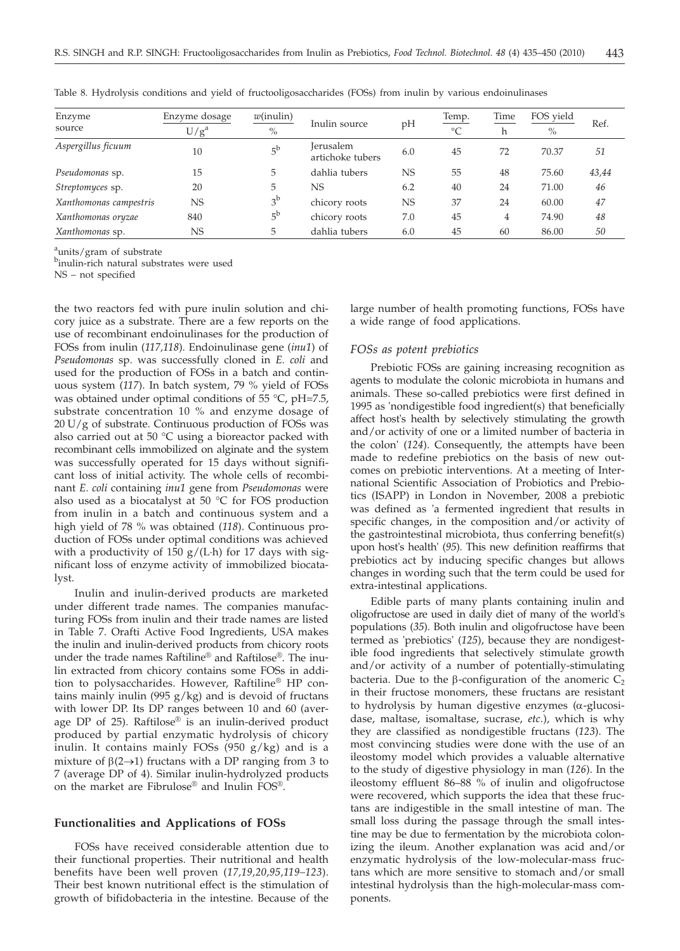| Enzyme                 | Enzyme dosage | $w$ (inulin)   | Inulin source                        | pH        | Temp.     | Time | FOS yield | Ref.  |
|------------------------|---------------|----------------|--------------------------------------|-----------|-----------|------|-----------|-------|
| source                 | $U/g^a$       | $\%$           |                                      |           | $\circ$ C | h    | $\%$      |       |
| Aspergillus ficuum     | 10            | $5^{\rm b}$    | <b>Jerusalem</b><br>artichoke tubers | 6.0       | 45        | 72   | 70.37     | 51    |
| Pseudomonas sp.        | 15            | 5              | dahlia tubers                        | <b>NS</b> | 55        | 48   | 75.60     | 43,44 |
| Streptomyces sp.       | 20            | 5              | <b>NS</b>                            | 6.2       | 40        | 24   | 71.00     | 46    |
| Xanthomonas campestris | <b>NS</b>     | 3 <sup>b</sup> | chicory roots                        | <b>NS</b> | 37        | 24   | 60.00     | 47    |
| Xanthomonas oryzae     | 840           | $5^{\text{b}}$ | chicory roots                        | 7.0       | 45        | 4    | 74.90     | 48    |
| Xanthomonas sp.        | <b>NS</b>     | 5              | dahlia tubers                        | 6.0       | 45        | 60   | 86.00     | 50    |

Table 8. Hydrolysis conditions and yield of fructooligosaccharides (FOSs) from inulin by various endoinulinases

<sup>a</sup>units/gram of substrate

binulin-rich natural substrates were used

NS – not specified

the two reactors fed with pure inulin solution and chicory juice as a substrate. There are a few reports on the use of recombinant endoinulinases for the production of FOSs from inulin (*117,118*). Endoinulinase gene (*inu1*) of *Pseudomonas* sp. was successfully cloned in *E. coli* and used for the production of FOSs in a batch and continuous system (*117*). In batch system, 79 % yield of FOSs was obtained under optimal conditions of 55 °C, pH=7.5, substrate concentration 10 % and enzyme dosage of 20 U/g of substrate. Continuous production of FOSs was also carried out at 50 °C using a bioreactor packed with recombinant cells immobilized on alginate and the system was successfully operated for 15 days without significant loss of initial activity. The whole cells of recombinant *E. coli* containing *inu1* gene from *Pseudomonas* were also used as a biocatalyst at 50 °C for FOS production from inulin in a batch and continuous system and a high yield of 78 % was obtained (*118*). Continuous production of FOSs under optimal conditions was achieved with a productivity of 150  $g/(L \cdot h)$  for 17 days with significant loss of enzyme activity of immobilized biocatalyst.

Inulin and inulin-derived products are marketed under different trade names. The companies manufacturing FOSs from inulin and their trade names are listed in Table 7. Orafti Active Food Ingredients, USA makes the inulin and inulin-derived products from chicory roots under the trade names Raftiline® and Raftilose®. The inulin extracted from chicory contains some FOSs in addition to polysaccharides. However, Raftiline® HP contains mainly inulin (995  $g/kg$ ) and is devoid of fructans with lower DP. Its DP ranges between 10 and 60 (average DP of 25). Raftilose® is an inulin-derived product produced by partial enzymatic hydrolysis of chicory inulin. It contains mainly FOSs  $(950 g/kg)$  and is a mixture of  $\beta$ (2 $\rightarrow$ 1) fructans with a DP ranging from 3 to 7 (average DP of 4). Similar inulin-hydrolyzed products on the market are Fibrulose® and Inulin FOS®.

## **Functionalities and Applications of FOSs**

FOSs have received considerable attention due to their functional properties. Their nutritional and health benefits have been well proven (*17,19,20,95,119–123*). Their best known nutritional effect is the stimulation of growth of bifidobacteria in the intestine. Because of the

large number of health promoting functions, FOSs have a wide range of food applications.

# *FOSs as potent prebiotics*

Prebiotic FOSs are gaining increasing recognition as agents to modulate the colonic microbiota in humans and animals. These so-called prebiotics were first defined in 1995 as 'nondigestible food ingredient(s) that beneficially affect host's health by selectively stimulating the growth and/or activity of one or a limited number of bacteria in the colon' (*124*). Consequently, the attempts have been made to redefine prebiotics on the basis of new outcomes on prebiotic interventions. At a meeting of International Scientific Association of Probiotics and Prebiotics (ISAPP) in London in November, 2008 a prebiotic was defined as 'a fermented ingredient that results in specific changes, in the composition and/or activity of the gastrointestinal microbiota, thus conferring benefit(s) upon host's health' (*95*). This new definition reaffirms that prebiotics act by inducing specific changes but allows changes in wording such that the term could be used for extra-intestinal applications.

Edible parts of many plants containing inulin and oligofructose are used in daily diet of many of the world's populations (*35*). Both inulin and oligofructose have been termed as 'prebiotics' (*125*), because they are nondigestible food ingredients that selectively stimulate growth and/or activity of a number of potentially-stimulating bacteria. Due to the  $\beta$ -configuration of the anomeric  $C_2$ in their fructose monomers, these fructans are resistant to hydrolysis by human digestive enzymes  $(\alpha$ -glucosidase, maltase, isomaltase, sucrase, *etc*.), which is why they are classified as nondigestible fructans (*123*). The most convincing studies were done with the use of an ileostomy model which provides a valuable alternative to the study of digestive physiology in man (*126*). In the ileostomy effluent 86–88 % of inulin and oligofructose were recovered, which supports the idea that these fructans are indigestible in the small intestine of man. The small loss during the passage through the small intestine may be due to fermentation by the microbiota colonizing the ileum. Another explanation was acid and/or enzymatic hydrolysis of the low-molecular-mass fructans which are more sensitive to stomach and/or small intestinal hydrolysis than the high-molecular-mass components.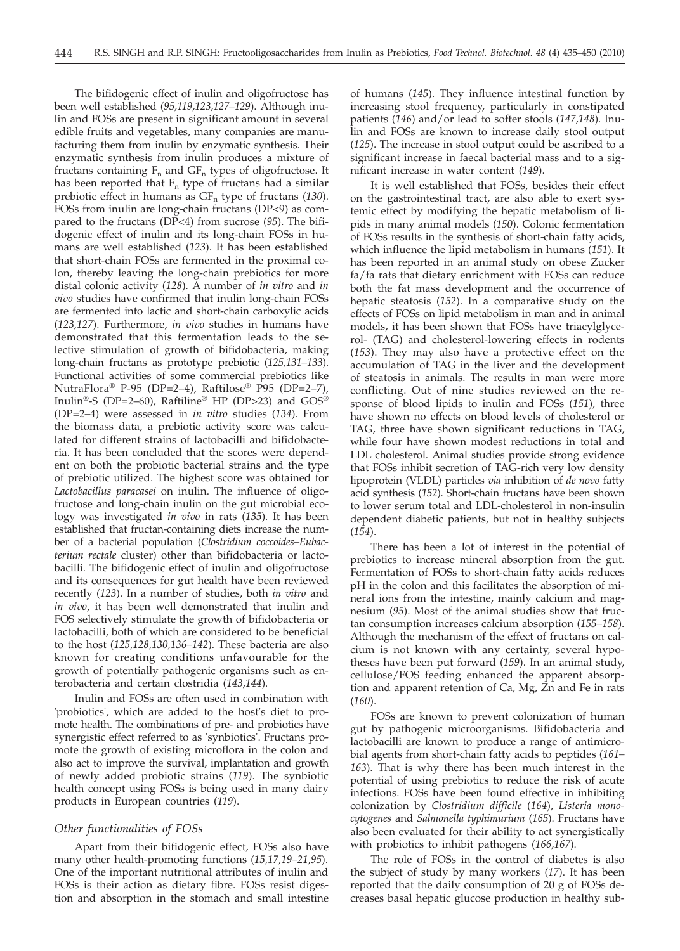The bifidogenic effect of inulin and oligofructose has been well established (*95,119,123,127–129*). Although inulin and FOSs are present in significant amount in several edible fruits and vegetables, many companies are manufacturing them from inulin by enzymatic synthesis. Their enzymatic synthesis from inulin produces a mixture of fructans containing  $F_n$  and  $GF_n$  types of oligofructose. It has been reported that  $F_n$  type of fructans had a similar prebiotic effect in humans as  $GF_n$  type of fructans (130). FOSs from inulin are long-chain fructans (DP<9) as compared to the fructans (DP<4) from sucrose (*95*). The bifidogenic effect of inulin and its long-chain FOSs in humans are well established (*123*). It has been established that short-chain FOSs are fermented in the proximal colon, thereby leaving the long-chain prebiotics for more distal colonic activity (*128*). A number of *in vitro* and *in vivo* studies have confirmed that inulin long-chain FOSs are fermented into lactic and short-chain carboxylic acids (*123,127*). Furthermore, *in vivo* studies in humans have demonstrated that this fermentation leads to the selective stimulation of growth of bifidobacteria, making long-chain fructans as prototype prebiotic (*125,131–133*). Functional activities of some commercial prebiotics like NutraFlora® P-95 (DP=2–4), Raftilose® P95 (DP=2–7), Inulin®-S (DP=2–60), Raftiline® HP (DP>23) and GOS® (DP=2–4) were assessed in *in vitro* studies (*134*). From the biomass data, a prebiotic activity score was calculated for different strains of lactobacilli and bifidobacteria. It has been concluded that the scores were dependent on both the probiotic bacterial strains and the type of prebiotic utilized. The highest score was obtained for *Lactobacillus paracasei* on inulin. The influence of oligofructose and long-chain inulin on the gut microbial ecology was investigated *in vivo* in rats (*135*). It has been established that fructan-containing diets increase the number of a bacterial population (*Clostridium coccoides–Eubacterium rectale* cluster) other than bifidobacteria or lactobacilli. The bifidogenic effect of inulin and oligofructose and its consequences for gut health have been reviewed recently (*123*). In a number of studies, both *in vitro* and *in vivo*, it has been well demonstrated that inulin and FOS selectively stimulate the growth of bifidobacteria or lactobacilli, both of which are considered to be beneficial to the host (*125,128,130,136–142*). These bacteria are also known for creating conditions unfavourable for the growth of potentially pathogenic organisms such as enterobacteria and certain clostridia (*143,144*).

Inulin and FOSs are often used in combination with 'probiotics', which are added to the host's diet to promote health. The combinations of pre- and probiotics have synergistic effect referred to as 'synbiotics'. Fructans promote the growth of existing microflora in the colon and also act to improve the survival, implantation and growth of newly added probiotic strains (*119*). The synbiotic health concept using FOSs is being used in many dairy products in European countries (*119*).

### *Other functionalities of FOSs*

Apart from their bifidogenic effect, FOSs also have many other health-promoting functions (*15,17,19–21,95*). One of the important nutritional attributes of inulin and FOSs is their action as dietary fibre. FOSs resist digestion and absorption in the stomach and small intestine

of humans (*145*). They influence intestinal function by increasing stool frequency, particularly in constipated patients (*146*) and/or lead to softer stools (*147,148*). Inulin and FOSs are known to increase daily stool output (*125*). The increase in stool output could be ascribed to a significant increase in faecal bacterial mass and to a significant increase in water content (*149*).

It is well established that FOSs, besides their effect on the gastrointestinal tract, are also able to exert systemic effect by modifying the hepatic metabolism of lipids in many animal models (*150*). Colonic fermentation of FOSs results in the synthesis of short-chain fatty acids, which influence the lipid metabolism in humans (*151*). It has been reported in an animal study on obese Zucker fa/fa rats that dietary enrichment with FOSs can reduce both the fat mass development and the occurrence of hepatic steatosis (*152*). In a comparative study on the effects of FOSs on lipid metabolism in man and in animal models, it has been shown that FOSs have triacylglycerol- (TAG) and cholesterol-lowering effects in rodents (*153*). They may also have a protective effect on the accumulation of TAG in the liver and the development of steatosis in animals. The results in man were more conflicting. Out of nine studies reviewed on the response of blood lipids to inulin and FOSs (*151*), three have shown no effects on blood levels of cholesterol or TAG, three have shown significant reductions in TAG, while four have shown modest reductions in total and LDL cholesterol. Animal studies provide strong evidence that FOSs inhibit secretion of TAG-rich very low density lipoprotein (VLDL) particles *via* inhibition of *de novo* fatty acid synthesis (*152*). Short-chain fructans have been shown to lower serum total and LDL-cholesterol in non-insulin dependent diabetic patients, but not in healthy subjects (*154*).

There has been a lot of interest in the potential of prebiotics to increase mineral absorption from the gut. Fermentation of FOSs to short-chain fatty acids reduces pH in the colon and this facilitates the absorption of mineral ions from the intestine, mainly calcium and magnesium (*95*). Most of the animal studies show that fructan consumption increases calcium absorption (*155–158*). Although the mechanism of the effect of fructans on calcium is not known with any certainty, several hypotheses have been put forward (*159*). In an animal study, cellulose/FOS feeding enhanced the apparent absorption and apparent retention of Ca, Mg, Zn and Fe in rats (*160*).

FOSs are known to prevent colonization of human gut by pathogenic microorganisms. Bifidobacteria and lactobacilli are known to produce a range of antimicrobial agents from short-chain fatty acids to peptides (*161– 163*). That is why there has been much interest in the potential of using prebiotics to reduce the risk of acute infections. FOSs have been found effective in inhibiting colonization by *Clostridium difficile* (*164*), *Listeria monocytogenes* and *Salmonella typhimurium* (*165*). Fructans have also been evaluated for their ability to act synergistically with probiotics to inhibit pathogens (*166,167*).

The role of FOSs in the control of diabetes is also the subject of study by many workers (*17*). It has been reported that the daily consumption of 20 g of FOSs decreases basal hepatic glucose production in healthy sub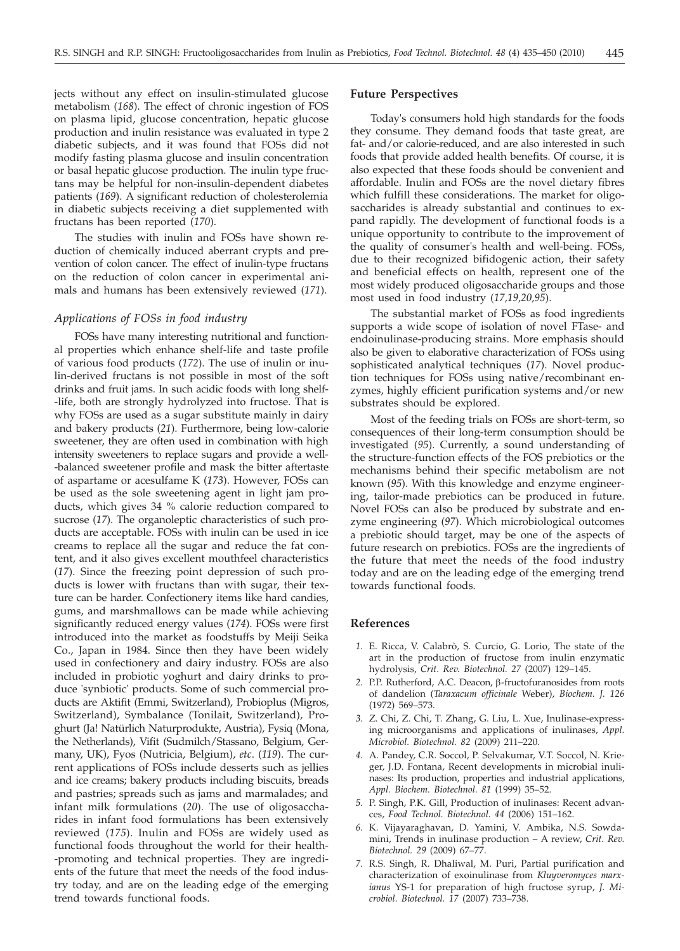jects without any effect on insulin-stimulated glucose metabolism (*168*). The effect of chronic ingestion of FOS on plasma lipid, glucose concentration, hepatic glucose production and inulin resistance was evaluated in type 2 diabetic subjects, and it was found that FOSs did not modify fasting plasma glucose and insulin concentration or basal hepatic glucose production. The inulin type fructans may be helpful for non-insulin-dependent diabetes patients (*169*). A significant reduction of cholesterolemia in diabetic subjects receiving a diet supplemented with fructans has been reported (*170*).

The studies with inulin and FOSs have shown reduction of chemically induced aberrant crypts and prevention of colon cancer. The effect of inulin-type fructans on the reduction of colon cancer in experimental animals and humans has been extensively reviewed (*171*).

#### *Applications of FOSs in food industry*

FOSs have many interesting nutritional and functional properties which enhance shelf-life and taste profile of various food products (*172*). The use of inulin or inulin-derived fructans is not possible in most of the soft drinks and fruit jams. In such acidic foods with long shelf- -life, both are strongly hydrolyzed into fructose. That is why FOSs are used as a sugar substitute mainly in dairy and bakery products (*21*). Furthermore, being low-calorie sweetener, they are often used in combination with high intensity sweeteners to replace sugars and provide a well- -balanced sweetener profile and mask the bitter aftertaste of aspartame or acesulfame K (*173*). However, FOSs can be used as the sole sweetening agent in light jam products, which gives 34 % calorie reduction compared to sucrose (*17*). The organoleptic characteristics of such products are acceptable. FOSs with inulin can be used in ice creams to replace all the sugar and reduce the fat content, and it also gives excellent mouthfeel characteristics (*17*). Since the freezing point depression of such products is lower with fructans than with sugar, their texture can be harder. Confectionery items like hard candies, gums, and marshmallows can be made while achieving significantly reduced energy values (*174*). FOSs were first introduced into the market as foodstuffs by Meiji Seika Co., Japan in 1984. Since then they have been widely used in confectionery and dairy industry. FOSs are also included in probiotic yoghurt and dairy drinks to produce 'synbiotic' products. Some of such commercial products are Aktifit (Emmi, Switzerland), Probioplus (Migros, Switzerland), Symbalance (Tonilait, Switzerland), Proghurt (Ja! Natürlich Naturprodukte, Austria), Fysiq (Mona, the Netherlands), Vifit (Sudmilch/Stassano, Belgium, Germany, UK), Fyos (Nutricia, Belgium), *etc*. (*119*). The current applications of FOSs include desserts such as jellies and ice creams; bakery products including biscuits, breads and pastries; spreads such as jams and marmalades; and infant milk formulations (*20*). The use of oligosaccharides in infant food formulations has been extensively reviewed (*175*). Inulin and FOSs are widely used as functional foods throughout the world for their health- -promoting and technical properties. They are ingredients of the future that meet the needs of the food industry today, and are on the leading edge of the emerging trend towards functional foods.

### **Future Perspectives**

Today's consumers hold high standards for the foods they consume. They demand foods that taste great, are fat- and/or calorie-reduced, and are also interested in such foods that provide added health benefits. Of course, it is also expected that these foods should be convenient and affordable. Inulin and FOSs are the novel dietary fibres which fulfill these considerations. The market for oligosaccharides is already substantial and continues to expand rapidly. The development of functional foods is a unique opportunity to contribute to the improvement of the quality of consumer's health and well-being. FOSs, due to their recognized bifidogenic action, their safety and beneficial effects on health, represent one of the most widely produced oligosaccharide groups and those most used in food industry (*17,19,20,95*).

The substantial market of FOSs as food ingredients supports a wide scope of isolation of novel FTase- and endoinulinase-producing strains. More emphasis should also be given to elaborative characterization of FOSs using sophisticated analytical techniques (*17*). Novel production techniques for FOSs using native/recombinant enzymes, highly efficient purification systems and/or new substrates should be explored.

Most of the feeding trials on FOSs are short-term, so consequences of their long-term consumption should be investigated (*95*). Currently, a sound understanding of the structure-function effects of the FOS prebiotics or the mechanisms behind their specific metabolism are not known (*95*). With this knowledge and enzyme engineering, tailor-made prebiotics can be produced in future. Novel FOSs can also be produced by substrate and enzyme engineering (*97*). Which microbiological outcomes a prebiotic should target, may be one of the aspects of future research on prebiotics. FOSs are the ingredients of the future that meet the needs of the food industry today and are on the leading edge of the emerging trend towards functional foods.

#### **References**

- *1.* E. Ricca, V. Calabrò, S. Curcio, G. Lorio, The state of the art in the production of fructose from inulin enzymatic hydrolysis, *Crit. Rev. Biotechnol. 27* (2007) 129–145.
- 2. P.P. Rutherford, A.C. Deacon, β-fructofuranosides from roots of dandelion (*Taraxacum officinale* Weber), *Biochem. J. 126* (1972) 569–573.
- *3.* Z. Chi, Z. Chi, T. Zhang, G. Liu, L. Xue, Inulinase-expressing microorganisms and applications of inulinases, *Appl. Microbiol. Biotechnol. 82* (2009) 211–220.
- *4.* A. Pandey, C.R. Soccol, P. Selvakumar, V.T. Soccol, N. Krieger, J.D. Fontana, Recent developments in microbial inulinases: Its production, properties and industrial applications, *Appl. Biochem. Biotechnol. 81* (1999) 35–52.
- *5.* P. Singh, P.K. Gill, Production of inulinases: Recent advances, *Food Technol. Biotechnol. 44* (2006) 151–162.
- *6.* K. Vijayaraghavan, D. Yamini, V. Ambika, N.S. Sowdamini, Trends in inulinase production – A review, *Crit. Rev. Biotechnol. 29* (2009) 67–77.
- *7.* R.S. Singh, R. Dhaliwal, M. Puri, Partial purification and characterization of exoinulinase from *Kluyveromyces marxianus* YS-1 for preparation of high fructose syrup, *J. Microbiol. Biotechnol. 17* (2007) 733–738.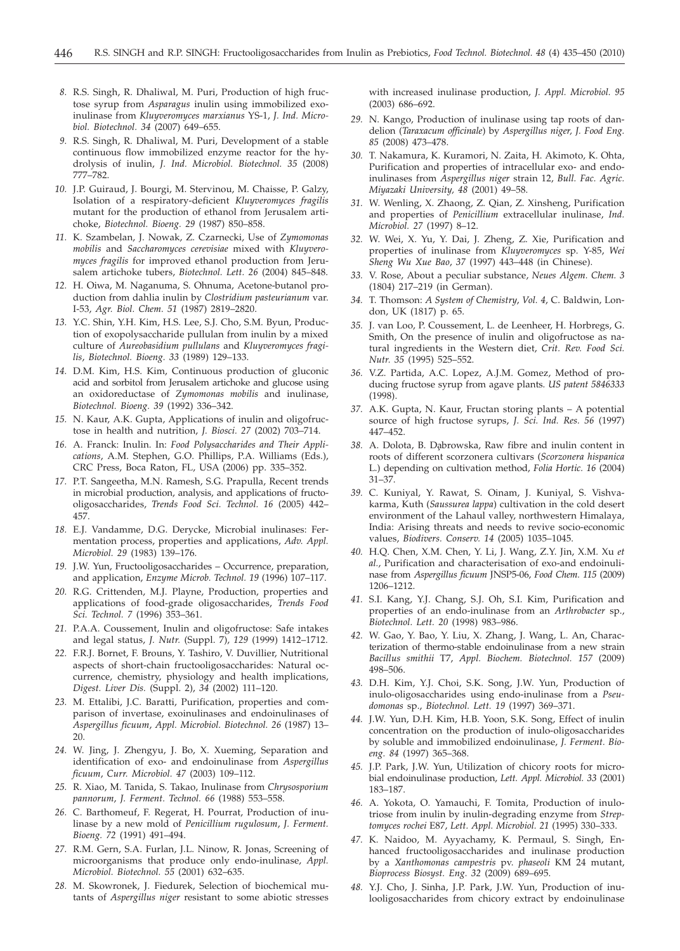- *8.* R.S. Singh, R. Dhaliwal, M. Puri, Production of high fructose syrup from *Asparagus* inulin using immobilized exoinulinase from *Kluyveromyces marxianus* YS-1, *J. Ind. Microbiol. Biotechnol. 34* (2007) 649–655.
- *9.* R.S. Singh, R. Dhaliwal, M. Puri, Development of a stable continuous flow immobilized enzyme reactor for the hydrolysis of inulin, *J. Ind. Microbiol. Biotechnol. 35* (2008) 777–782.
- *10.* J.P. Guiraud, J. Bourgi, M. Stervinou, M. Chaisse, P. Galzy, Isolation of a respiratory-deficient *Kluyveromyces fragilis* mutant for the production of ethanol from Jerusalem artichoke, *Biotechnol. Bioeng. 29* (1987) 850–858.
- *11.* K. Szambelan, J. Nowak, Z. Czarnecki, Use of *Zymomonas mobilis* and *Saccharomyces cerevisiae* mixed with *Kluyveromyces fragilis* for improved ethanol production from Jerusalem artichoke tubers, *Biotechnol. Lett. 26* (2004) 845–848.
- *12.* H. Oiwa, M. Naganuma, S. Ohnuma, Acetone-butanol production from dahlia inulin by *Clostridium pasteurianum* var. I-53, *Agr. Biol. Chem. 51* (1987) 2819–2820.
- *13.* Y.C. Shin, Y.H. Kim, H.S. Lee, S.J. Cho, S.M. Byun, Production of exopolysaccharide pullulan from inulin by a mixed culture of *Aureobasidium pullulans* and *Kluyveromyces fragilis*, *Biotechnol. Bioeng. 33* (1989) 129–133.
- *14.* D.M. Kim, H.S. Kim, Continuous production of gluconic acid and sorbitol from Jerusalem artichoke and glucose using an oxidoreductase of *Zymomonas mobilis* and inulinase, *Biotechnol. Bioeng. 39* (1992) 336–342.
- *15.* N. Kaur, A.K. Gupta, Applications of inulin and oligofructose in health and nutrition, *J. Biosci. 27* (2002) 703–714.
- *16.* A. Franck: Inulin. In: *Food Polysaccharides and Their Applications*, A.M. Stephen, G.O. Phillips, P.A. Williams (Eds.), CRC Press, Boca Raton, FL, USA (2006) pp. 335–352.
- *17.* P.T. Sangeetha, M.N. Ramesh, S.G. Prapulla, Recent trends in microbial production, analysis, and applications of fructooligosaccharides, *Trends Food Sci. Technol. 16* (2005) 442– 457.
- *18.* E.J. Vandamme, D.G. Derycke, Microbial inulinases: Fermentation process, properties and applications, *Adv. Appl. Microbiol. 29* (1983) 139–176.
- *19.* J.W. Yun, Fructooligosaccharides Occurrence, preparation, and application, *Enzyme Microb. Technol. 19* (1996) 107–117.
- *20.* R.G. Crittenden, M.J. Playne, Production, properties and applications of food-grade oligosaccharides, *Trends Food Sci. Technol. 7* (1996) 353–361.
- *21.* P.A.A. Coussement, Inulin and oligofructose: Safe intakes and legal status, *J. Nutr.* (Suppl. 7), *129* (1999) 1412–1712.
- *22.* F.R.J. Bornet, F. Brouns, Y. Tashiro, V. Duvillier, Nutritional aspects of short-chain fructooligosaccharides: Natural occurrence, chemistry, physiology and health implications, *Digest. Liver Dis.* (Suppl. 2), *34* (2002) 111–120.
- *23.* M. Ettalibi, J.C. Baratti, Purification, properties and comparison of invertase, exoinulinases and endoinulinases of *Aspergillus ficuum*, *Appl. Microbiol. Biotechnol. 26* (1987) 13– 20.
- *24.* W. Jing, J. Zhengyu, J. Bo, X. Xueming, Separation and identification of exo- and endoinulinase from *Aspergillus ficuum*, *Curr. Microbiol. 47* (2003) 109–112.
- *25.* R. Xiao, M. Tanida, S. Takao, Inulinase from *Chrysosporium pannorum*, *J. Ferment. Technol. 66* (1988) 553–558.
- *26.* C. Barthomeuf, F. Regerat, H. Pourrat, Production of inulinase by a new mold of *Penicillium rugulosum*, *J. Ferment. Bioeng. 72* (1991) 491–494.
- *27.* R.M. Gern, S.A. Furlan, J.L. Ninow, R. Jonas, Screening of microorganisms that produce only endo-inulinase, *Appl. Microbiol. Biotechnol. 55* (2001) 632–635.
- *28.* M. Skowronek, J. Fiedurek, Selection of biochemical mutants of *Aspergillus niger* resistant to some abiotic stresses

with increased inulinase production, *J. Appl. Microbiol. 95* (2003) 686–692.

- *29.* N. Kango, Production of inulinase using tap roots of dandelion (*Taraxacum officinale*) by *Aspergillus niger, J. Food Eng. 85* (2008) 473–478.
- *30.* T. Nakamura, K. Kuramori, N. Zaita, H. Akimoto, K. Ohta, Purification and properties of intracellular exo- and endoinulinases from *Aspergillus niger* strain 12, *Bull. Fac. Agric. Miyazaki University, 48* (2001) 49–58.
- *31.* W. Wenling, X. Zhaong, Z. Qian, Z. Xinsheng, Purification and properties of *Penicillium* extracellular inulinase, *Ind. Microbiol. 27* (1997) 8–12.
- *32.* W. Wei, X. Yu, Y. Dai, J. Zheng, Z. Xie, Purification and properties of inulinase from *Kluyveromyces* sp. Y-85, *Wei Sheng Wu Xue Bao*, *37* (1997) 443–448 (in Chinese).
- *33.* V. Rose, About a peculiar substance, *Neues Algem. Chem. 3* (1804) 217–219 (in German).
- *34.* T. Thomson: *A System of Chemistry*, *Vol. 4*, C. Baldwin, London, UK (1817) p. 65.
- *35.* J. van Loo, P. Coussement, L. de Leenheer, H. Horbregs, G. Smith, On the presence of inulin and oligofructose as natural ingredients in the Western diet, *Crit. Rev. Food Sci. Nutr. 35* (1995) 525–552.
- *36.* V.Z. Partida, A.C. Lopez, A.J.M. Gomez, Method of producing fructose syrup from agave plants. *US patent 5846333* (1998).
- *37.* A.K. Gupta, N. Kaur, Fructan storing plants A potential source of high fructose syrups, *J. Sci. Ind. Res. 56* (1997) 447–452.
- 38. A. Dolota, B. Dąbrowska, Raw fibre and inulin content in roots of different scorzonera cultivars (*Scorzonera hispanica* L.) depending on cultivation method, *Folia Hortic. 16* (2004) 31–37.
- *39.* C. Kuniyal, Y. Rawat, S. Oinam, J. Kuniyal, S. Vishvakarma, Kuth (*Saussurea lappa*) cultivation in the cold desert environment of the Lahaul valley, northwestern Himalaya, India: Arising threats and needs to revive socio-economic values, *Biodivers. Conserv. 14* (2005) 1035–1045.
- *40.* H.Q. Chen, X.M. Chen, Y. Li, J. Wang, Z.Y. Jin, X.M. Xu *et al.*, Purification and characterisation of exo-and endoinulinase from *Aspergillus ficuum* JNSP5-06, *Food Chem. 115* (2009) 1206–1212.
- *41.* S.I. Kang, Y.J. Chang, S.J. Oh, S.I. Kim, Purification and properties of an endo-inulinase from an *Arthrobacter* sp., *Biotechnol. Lett. 20* (1998) 983–986.
- *42.* W. Gao, Y. Bao, Y. Liu, X. Zhang, J. Wang, L. An, Characterization of thermo-stable endoinulinase from a new strain *Bacillus smithii* T7, *Appl. Biochem. Biotechnol. 157* (2009) 498–506.
- *43.* D.H. Kim, Y.J. Choi, S.K. Song, J.W. Yun, Production of inulo-oligosaccharides using endo-inulinase from a *Pseudomonas* sp., *Biotechnol. Lett. 19* (1997) 369–371.
- *44.* J.W. Yun, D.H. Kim, H.B. Yoon, S.K. Song, Effect of inulin concentration on the production of inulo-oligosaccharides by soluble and immobilized endoinulinase, *J. Ferment. Bioeng. 84* (1997) 365–368.
- *45.* J.P. Park, J.W. Yun, Utilization of chicory roots for microbial endoinulinase production, *Lett. Appl. Microbiol. 33* (2001) 183–187.
- *46.* A. Yokota, O. Yamauchi, F. Tomita, Production of inulotriose from inulin by inulin-degrading enzyme from *Streptomyces rochei* E87, *Lett. Appl. Microbiol. 21* (1995) 330–333.
- *47.* K. Naidoo, M. Ayyachamy, K. Permaul, S. Singh, Enhanced fructooligosaccharides and inulinase production by a *Xanthomonas campestris* pv. *phaseoli* KM 24 mutant, *Bioprocess Biosyst. Eng. 32* (2009) 689–695.
- *48.* Y.J. Cho, J. Sinha, J.P. Park, J.W. Yun, Production of inulooligosaccharides from chicory extract by endoinulinase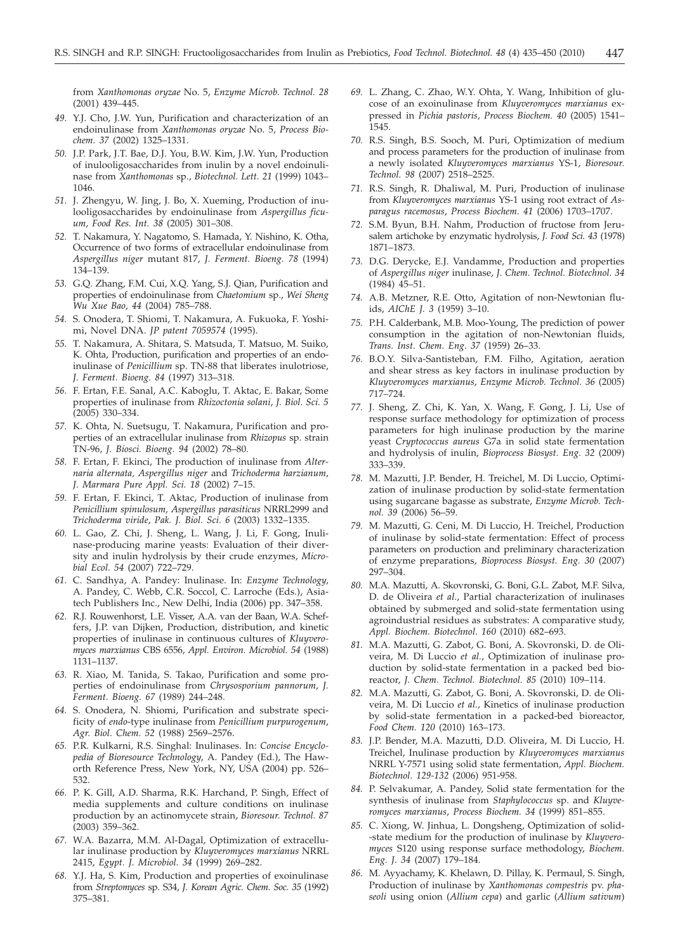from *Xanthomonas oryzae* No. 5, *Enzyme Microb. Technol. 28* (2001) 439–445.

- *49.* Y.J. Cho, J.W. Yun, Purification and characterization of an endoinulinase from *Xanthomonas oryzae* No. 5, *Process Biochem. 37* (2002) 1325–1331.
- *50.* J.P. Park, J.T. Bae, D.J. You, B.W. Kim, J.W. Yun, Production of inulooligosaccharides from inulin by a novel endoinulinase from *Xanthomonas* sp., *Biotechnol. Lett. 21* (1999) 1043– 1046.
- *51.* J. Zhengyu, W. Jing, J. Bo, X. Xueming, Production of inulooligosaccharides by endoinulinase from *Aspergillus ficuum*, *Food Res. Int. 38* (2005) 301–308.
- *52.* T. Nakamura, Y. Nagatomo, S. Hamada, Y. Nishino, K. Otha, Occurrence of two forms of extracellular endoinulinase from *Aspergillus niger* mutant 817, *J. Ferment. Bioeng. 78* (1994) 134–139.
- *53.* G.Q. Zhang, F.M. Cui, X.Q. Yang, S.J. Qian, Purification and properties of endoinulinase from *Chaetomium* sp., *Wei Sheng Wu Xue Bao*, *44* (2004) 785–788.
- *54.* S. Onodera, T. Shiomi, T. Nakamura, A. Fukuoka, F. Yoshimi, Novel DNA. *JP patent 7059574* (1995).
- *55.* T. Nakamura, A. Shitara, S. Matsuda, T. Matsuo, M. Suiko, K. Ohta, Production, purification and properties of an endoinulinase of *Penicillium* sp. TN-88 that liberates inulotriose, *J. Ferment. Bioeng. 84* (1997) 313–318.
- *56.* F. Ertan, F.E. Sanal, A.C. Kaboglu, T. Aktac, E. Bakar, Some properties of inulinase from *Rhizoctonia solani*, *J. Biol. Sci. 5* (2005) 330–334.
- *57.* K. Ohta, N. Suetsugu, T. Nakamura, Purification and properties of an extracellular inulinase from *Rhizopus* sp. strain TN-96, *J. Biosci. Bioeng. 94* (2002) 78–80.
- *58.* F. Ertan, F. Ekinci, The production of inulinase from *Alternaria alternata, Aspergillus niger* and *Trichoderma harzianum*, *J. Marmara Pure Appl. Sci. 18* (2002) 7–15.
- *59.* F. Ertan, F. Ekinci, T. Aktac, Production of inulinase from *Penicillium spinulosum, Aspergillus parasiticus* NRRL2999 and *Trichoderma viride*, *Pak. J. Biol. Sci. 6* (2003) 1332–1335.
- *60.* L. Gao, Z. Chi, J. Sheng, L. Wang, J. Li, F. Gong, Inulinase-producing marine yeasts: Evaluation of their diversity and inulin hydrolysis by their crude enzymes, *Microbial Ecol. 54* (2007) 722–729.
- *61.* C. Sandhya, A. Pandey: Inulinase. In: *Enzyme Technology*, A. Pandey, C. Webb, C.R. Soccol, C. Larroche (Eds.), Asiatech Publishers Inc., New Delhi, India (2006) pp. 347–358.
- *62.* R.J. Rouwenhorst, L.E. Visser, A.A. van der Baan, W.A. Scheffers, J.P. van Dijken, Production, distribution, and kinetic properties of inulinase in continuous cultures of *Kluyveromyces marxianus* CBS 6556, *Appl. Environ. Microbiol. 54* (1988) 1131–1137.
- *63.* R. Xiao, M. Tanida, S. Takao, Purification and some properties of endoinulinase from *Chrysosporium pannorum*, *J. Ferment. Bioeng. 67* (1989) 244–248.
- *64.* S. Onodera, N. Shiomi, Purification and substrate specificity of *endo*-type inulinase from *Penicillium purpurogenum*, *Agr. Biol. Chem. 52* (1988) 2569–2576.
- *65.* P.R. Kulkarni, R.S. Singhal: Inulinases. In: *Concise Encyclopedia of Bioresource Technology*, A. Pandey (Ed.), The Haworth Reference Press, New York, NY, USA (2004) pp. 526– 532.
- *66.* P. K. Gill, A.D. Sharma, R.K. Harchand, P. Singh, Effect of media supplements and culture conditions on inulinase production by an actinomycete strain, *Bioresour. Technol. 87* (2003) 359–362.
- *67.* W.A. Bazarra, M.M. Al-Dagal, Optimization of extracellular inulinase production by *Kluyveromyces marxianus* NRRL 2415, *Egypt. J. Microbiol. 34* (1999) 269–282.
- *68.* Y.J. Ha, S. Kim, Production and properties of exoinulinase from *Streptomyces* sp. S34, *J. Korean Agric. Chem. Soc. 35* (1992) 375–381.
- *69.* L. Zhang, C. Zhao, W.Y. Ohta, Y. Wang, Inhibition of glucose of an exoinulinase from *Kluyveromyces marxianus* expressed in *Pichia pastoris*, *Process Biochem. 40* (2005) 1541– 1545.
- *70.* R.S. Singh, B.S. Sooch, M. Puri, Optimization of medium and process parameters for the production of inulinase from a newly isolated *Kluyveromyces marxianus* YS-1, *Bioresour. Technol. 98* (2007) 2518–2525.
- *71.* R.S. Singh, R. Dhaliwal, M. Puri, Production of inulinase from *Kluyveromyces marxianus* YS-1 using root extract of *Asparagus racemosus*, *Process Biochem. 41* (2006) 1703–1707.
- *72.* S.M. Byun, B.H. Nahm, Production of fructose from Jerusalem artichoke by enzymatic hydrolysis, *J. Food Sci. 43* (1978) 1871–1873.
- *73.* D.G. Derycke, E.J. Vandamme, Production and properties of *Aspergillus niger* inulinase, *J. Chem. Technol. Biotechnol. 34* (1984) 45–51.
- *74.* A.B. Metzner, R.E. Otto, Agitation of non-Newtonian fluids, *AIChE J. 3* (1959) 3–10.
- *75.* P.H. Calderbank, M.B. Moo-Young, The prediction of power consumption in the agitation of non-Newtonian fluids, *Trans. Inst. Chem. Eng*. *37* (1959) 26–33.
- *76.* B.O.Y. Silva-Santisteban, F.M. Filho, Agitation, aeration and shear stress as key factors in inulinase production by *Kluyveromyces marxianus*, *Enzyme Microb. Technol. 36* (2005) 717–724.
- *77.* J. Sheng, Z. Chi, K. Yan, X. Wang, F. Gong, J. Li, Use of response surface methodology for optimization of process parameters for high inulinase production by the marine yeast *Cryptococcus aureus* G7a in solid state fermentation and hydrolysis of inulin, *Bioprocess Biosyst. Eng. 32* (2009) 333–339.
- *78.* M. Mazutti, J.P. Bender, H. Treichel, M. Di Luccio, Optimization of inulinase production by solid-state fermentation using sugarcane bagasse as substrate, *Enzyme Microb. Technol. 39* (2006) 56–59.
- *79.* M. Mazutti, G. Ceni, M. Di Luccio, H. Treichel, Production of inulinase by solid-state fermentation: Effect of process parameters on production and preliminary characterization of enzyme preparations, *Bioprocess Biosyst. Eng. 30* (2007) 297–304.
- *80.* M.A. Mazutti, A. Skovronski, G. Boni, G.L. Zabot, M.F. Silva, D. de Oliveira *et al.*, Partial characterization of inulinases obtained by submerged and solid-state fermentation using agroindustrial residues as substrates: A comparative study, *Appl. Biochem. Biotechnol. 160* (2010) 682–693.
- *81.* M.A. Mazutti, G. Zabot, G. Boni, A. Skovronski, D. de Oliveira, M. Di Luccio *et al.*, Optimization of inulinase production by solid-state fermentation in a packed bed bioreactor, *J. Chem. Technol. Biotechnol. 85* (2010) 109–114.
- *82.* M.A. Mazutti, G. Zabot, G. Boni, A. Skovronski, D. de Oliveira, M. Di Luccio *et al.*, Kinetics of inulinase production by solid-state fermentation in a packed-bed bioreactor, *Food Chem. 120* (2010) 163–173.
- *83.* J.P. Bender, M.A. Mazutti, D.D. Oliveira, M. Di Luccio, H. Treichel, Inulinase production by *Kluyveromyces marxianus* NRRL Y-7571 using solid state fermentation, *Appl. Biochem. Biotechnol. 129-132* (2006) 951-958.
- *84.* P. Selvakumar, A. Pandey, Solid state fermentation for the synthesis of inulinase from *Staphylococcus* sp. and *Kluyveromyces marxianus*, *Process Biochem. 34* (1999) 851–855.
- *85.* C. Xiong, W. Jinhua, L. Dongsheng, Optimization of solid- -state medium for the production of inulinase by *Kluyveromyces* S120 using response surface methodology, *Biochem. Eng. J. 34* (2007) 179–184.
- *86.* M. Ayyachamy, K. Khelawn, D. Pillay, K. Permaul, S. Singh, Production of inulinase by *Xanthomonas compestris* pv. *phaseoli* using onion (*Allium cepa*) and garlic (*Allium sativum*)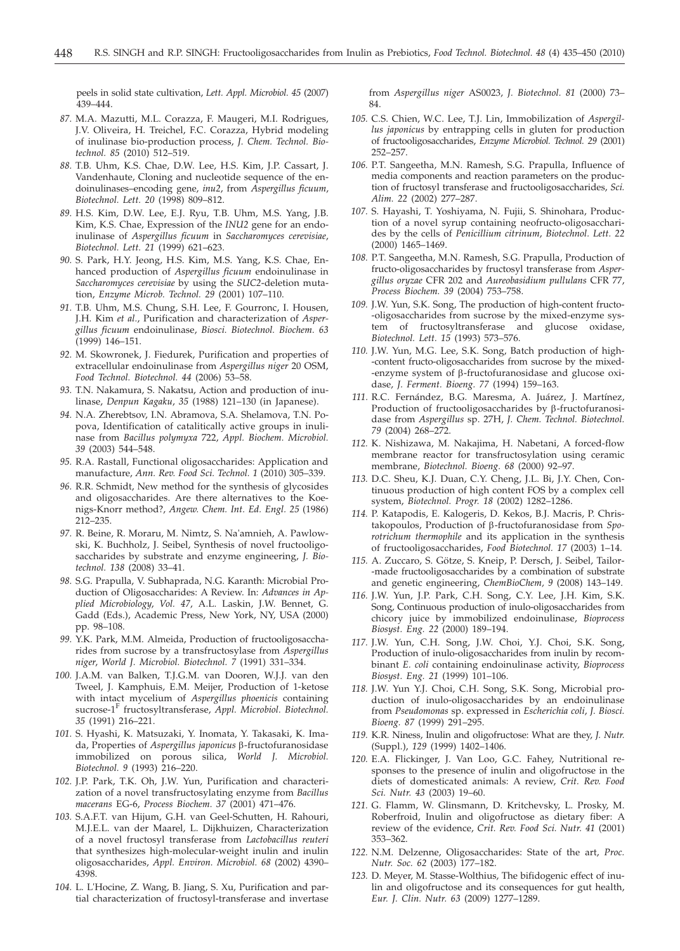peels in solid state cultivation, *Lett. Appl. Microbiol. 45* (2007) 439–444.

- *87.* M.A. Mazutti, M.L. Corazza, F. Maugeri, M.I. Rodrigues, J.V. Oliveira, H. Treichel, F.C. Corazza, Hybrid modeling of inulinase bio-production process, *J. Chem. Technol. Biotechnol. 85* (2010) 512–519.
- *88.* T.B. Uhm, K.S. Chae, D.W. Lee, H.S. Kim, J.P. Cassart, J. Vandenhaute, Cloning and nucleotide sequence of the endoinulinases–encoding gene, *inu2*, from *Aspergillus ficuum*, *Biotechnol. Lett. 20* (1998) 809–812.
- *89.* H.S. Kim, D.W. Lee, E.J. Ryu, T.B. Uhm, M.S. Yang, J.B. Kim, K.S. Chae, Expression of the *INU2* gene for an endoinulinase of *Aspergillus ficuum* in *Saccharomyces cerevisiae*, *Biotechnol. Lett. 21* (1999) 621–623.
- *90.* S. Park, H.Y. Jeong, H.S. Kim, M.S. Yang, K.S. Chae, Enhanced production of *Aspergillus ficuum* endoinulinase in *Saccharomyces cerevisiae* by using the *SUC2*-deletion mutation, *Enzyme Microb. Technol. 29* (2001) 107–110.
- *91.* T.B. Uhm, M.S. Chung, S.H. Lee, F. Gourronc, I. Housen, J.H. Kim *et al.*, Purification and characterization of *Aspergillus ficuum* endoinulinase, *Biosci. Biotechnol. Biochem. 63* (1999) 146–151.
- *92.* M. Skowronek, J. Fiedurek, Purification and properties of extracellular endoinulinase from *Aspergillus niger* 20 OSM, *Food Technol. Biotechnol. 44* (2006) 53–58.
- *93.* T.N. Nakamura, S. Nakatsu, Action and production of inulinase, *Denpun Kagaku*, *35* (1988) 121–130 (in Japanese).
- *94.* N.A. Zherebtsov, I.N. Abramova, S.A. Shelamova, T.N. Popova, Identification of catalitically active groups in inulinase from *Bacillus polymyxa* 722, *Appl. Biochem. Microbiol. 39* (2003) 544–548.
- *95.* R.A. Rastall, Functional oligosaccharides: Application and manufacture, *Ann. Rev. Food Sci. Technol. 1* (2010) 305–339.
- *96.* R.R. Schmidt, New method for the synthesis of glycosides and oligosaccharides. Are there alternatives to the Koenigs-Knorr method?, *Angew. Chem. Int. Ed. Engl. 25* (1986) 212–235.
- *97.* R. Beine, R. Moraru, M. Nimtz, S. Na'amnieh, A. Pawlowski, K. Buchholz, J. Seibel, Synthesis of novel fructooligosaccharides by substrate and enzyme engineering, *J. Biotechnol. 138* (2008) 33–41.
- *98.* S.G. Prapulla, V. Subhaprada, N.G. Karanth: Microbial Production of Oligosaccharides: A Review. In: *Advances in Applied Microbiology*, *Vol. 47*, A.L. Laskin, J.W. Bennet, G. Gadd (Eds.), Academic Press, New York, NY, USA (2000) pp. 98–108.
- *99.* Y.K. Park, M.M. Almeida, Production of fructooligosaccharides from sucrose by a transfructosylase from *Aspergillus niger*, *World J. Microbiol. Biotechnol. 7* (1991) 331–334.
- *100.* J.A.M. van Balken, T.J.G.M. van Dooren, W.J.J. van den Tweel, J. Kamphuis, E.M. Meijer, Production of 1-ketose with intact mycelium of *Aspergillus phoenicis* containing sucrose-1<sup>F</sup> fructosyltransferase, *Appl. Microbiol. Biotechnol. 35* (1991) 216–221.
- *101.* S. Hyashi, K. Matsuzaki, Y. Inomata, Y. Takasaki, K. Imada, Properties of *Aspergillus japonicus* b-fructofuranosidase immobilized on porous silica, *World J. Microbiol. Biotechnol. 9* (1993) 216–220.
- *102.* J.P. Park, T.K. Oh, J.W. Yun, Purification and characterization of a novel transfructosylating enzyme from *Bacillus macerans* EG-6, *Process Biochem. 37* (2001) 471–476.
- *103.* S.A.F.T. van Hijum, G.H. van Geel-Schutten, H. Rahouri, M.J.E.L. van der Maarel, L. Dijkhuizen, Characterization of a novel fructosyl transferase from *Lactobacillus reuteri* that synthesizes high-molecular-weight inulin and inulin oligosaccharides, *Appl. Environ. Microbiol. 68* (2002) 4390– 4398.
- *104.* L. L'Hocine, Z. Wang, B. Jiang, S. Xu, Purification and partial characterization of fructosyl-transferase and invertase

from *Aspergillus niger* AS0023, *J. Biotechnol. 81* (2000) 73– 84.

- *105.* C.S. Chien, W.C. Lee, T.J. Lin, Immobilization of *Aspergillus japonicus* by entrapping cells in gluten for production of fructooligosaccharides, *Enzyme Microbiol. Technol. 29* (2001) 252–257.
- *106.* P.T. Sangeetha, M.N. Ramesh, S.G. Prapulla, Influence of media components and reaction parameters on the production of fructosyl transferase and fructooligosaccharides, *Sci. Alim. 22* (2002) 277–287.
- *107.* S. Hayashi, T. Yoshiyama, N. Fujii, S. Shinohara, Production of a novel syrup containing neofructo-oligosaccharides by the cells of *Penicillium citrinum*, *Biotechnol. Lett. 22* (2000) 1465–1469.
- *108.* P.T. Sangeetha, M.N. Ramesh, S.G. Prapulla, Production of fructo-oligosaccharides by fructosyl transferase from *Aspergillus oryzae* CFR 202 and *Aureobasidium pullulans* CFR 77, *Process Biochem. 39* (2004) 753–758.
- *109.* J.W. Yun, S.K. Song, The production of high-content fructo- -oligosaccharides from sucrose by the mixed-enzyme system of fructosyltransferase and glucose oxidase, *Biotechnol. Lett. 15* (1993) 573–576.
- *110.* J.W. Yun, M.G. Lee, S.K. Song, Batch production of high- -content fructo-oligosaccharides from sucrose by the mixed- -enzyme system of b-fructofuranosidase and glucose oxidase, *J. Ferment. Bioeng. 77* (1994) 159–163.
- *111.* R.C. Fernández, B.G. Maresma, A. Juárez, J. Martínez, Production of fructooligosaccharides by  $\beta$ -fructofuranosidase from *Aspergillus* sp. 27H, *J. Chem. Technol. Biotechnol. 79* (2004) 268–272.
- *112.* K. Nishizawa, M. Nakajima, H. Nabetani, A forced-flow membrane reactor for transfructosylation using ceramic membrane, *Biotechnol. Bioeng. 68* (2000) 92–97.
- *113.* D.C. Sheu, K.J. Duan, C.Y. Cheng, J.L. Bi, J.Y. Chen, Continuous production of high content FOS by a complex cell system, *Biotechnol. Progr. 18* (2002) 1282–1286.
- *114.* P. Katapodis, E. Kalogeris, D. Kekos, B.J. Macris, P. Christakopoulos, Production of b-fructofuranosidase from *Sporotrichum thermophile* and its application in the synthesis of fructooligosaccharides, *Food Biotechnol. 17* (2003) 1–14.
- *115.* A. Zuccaro, S. Götze, S. Kneip, P. Dersch, J. Seibel, Tailor- -made fructooligosaccharides by a combination of substrate and genetic engineering, *ChemBioChem, 9* (2008) 143–149.
- *116.* J.W. Yun, J.P. Park, C.H. Song, C.Y. Lee, J.H. Kim, S.K. Song, Continuous production of inulo-oligosaccharides from chicory juice by immobilized endoinulinase, *Bioprocess Biosyst. Eng. 22* (2000) 189–194.
- *117.* J.W. Yun, C.H. Song, J.W. Choi, Y.J. Choi, S.K. Song, Production of inulo-oligosaccharides from inulin by recombinant *E. coli* containing endoinulinase activity, *Bioprocess Biosyst. Eng. 21* (1999) 101–106.
- *118.* J.W. Yun Y.J. Choi, C.H. Song, S.K. Song, Microbial production of inulo-oligosaccharides by an endoinulinase from *Pseudomonas* sp. expressed in *Escherichia coli*, *J. Biosci. Bioeng. 87* (1999) 291–295.
- *119.* K.R. Niness, Inulin and oligofructose: What are they, *J. Nutr.* (Suppl.), *129* (1999) 1402–1406.
- *120.* E.A. Flickinger, J. Van Loo, G.C. Fahey, Nutritional responses to the presence of inulin and oligofructose in the diets of domesticated animals: A review, *Crit. Rev. Food Sci. Nutr. 43* (2003) 19–60.
- *121.* G. Flamm, W. Glinsmann, D. Kritchevsky, L. Prosky, M. Roberfroid, Inulin and oligofructose as dietary fiber: A review of the evidence, *Crit. Rev. Food Sci. Nutr. 41* (2001) 353–362.
- *122.* N.M. Delzenne, Oligosaccharides: State of the art, *Proc. Nutr. Soc. 62* (2003) 177–182.
- *123.* D. Meyer, M. Stasse-Wolthius, The bifidogenic effect of inulin and oligofructose and its consequences for gut health, *Eur. J. Clin. Nutr. 63* (2009) 1277–1289.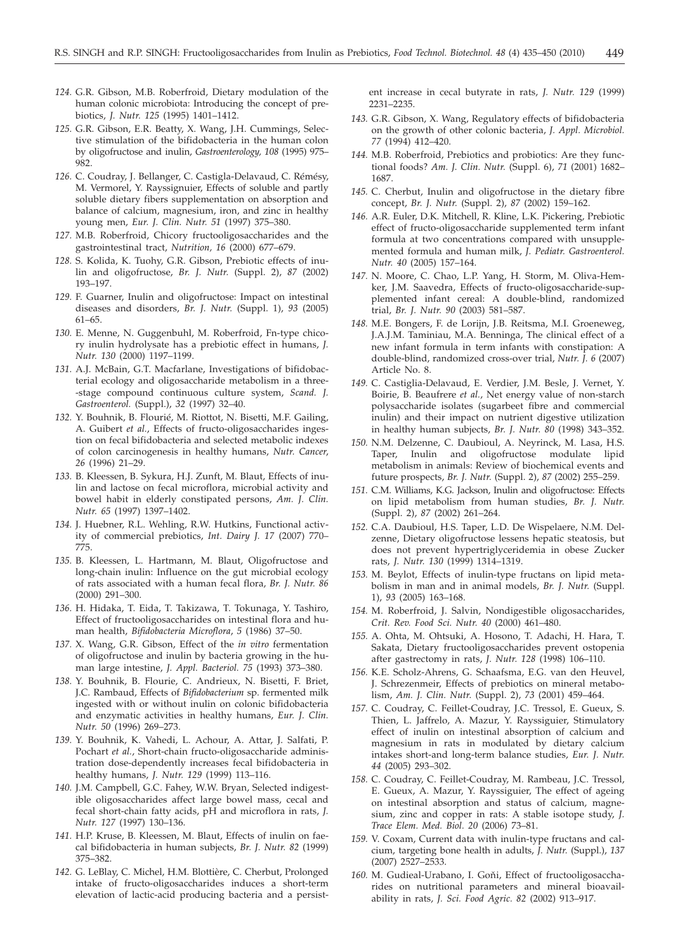- *124.* G.R. Gibson, M.B. Roberfroid, Dietary modulation of the human colonic microbiota: Introducing the concept of prebiotics, *J. Nutr. 125* (1995) 1401–1412.
- *125.* G.R. Gibson, E.R. Beatty, X. Wang, J.H. Cummings, Selective stimulation of the bifidobacteria in the human colon by oligofructose and inulin, *Gastroenterology, 108* (1995) 975– 982.
- *126.* C. Coudray, J. Bellanger, C. Castigla-Delavaud, C. Rémésy, M. Vermorel, Y. Rayssignuier, Effects of soluble and partly soluble dietary fibers supplementation on absorption and balance of calcium, magnesium, iron, and zinc in healthy young men, *Eur. J. Clin. Nutr. 51* (1997) 375–380.
- *127.* M.B. Roberfroid, Chicory fructooligosaccharides and the gastrointestinal tract, *Nutrition, 16* (2000) 677–679.
- *128.* S. Kolida, K. Tuohy, G.R. Gibson, Prebiotic effects of inulin and oligofructose, *Br. J. Nutr.* (Suppl. 2), *87* (2002) 193–197.
- *129.* F. Guarner, Inulin and oligofructose: Impact on intestinal diseases and disorders, *Br. J. Nutr.* (Suppl. 1), *93* (2005) 61–65.
- *130.* E. Menne, N. Guggenbuhl, M. Roberfroid, Fn-type chicory inulin hydrolysate has a prebiotic effect in humans, *J. Nutr. 130* (2000) 1197–1199.
- *131.* A.J. McBain, G.T. Macfarlane, Investigations of bifidobacterial ecology and oligosaccharide metabolism in a three- -stage compound continuous culture system, *Scand. J. Gastroenterol.* (Suppl.), *32* (1997) 32–40.
- *132.* Y. Bouhnik, B. Flourié, M. Riottot, N. Bisetti, M.F. Gailing, A. Guibert *et al.*, Effects of fructo-oligosaccharides ingestion on fecal bifidobacteria and selected metabolic indexes of colon carcinogenesis in healthy humans, *Nutr. Cancer*, *26* (1996) 21–29.
- *133.* B. Kleessen, B. Sykura, H.J. Zunft, M. Blaut, Effects of inulin and lactose on fecal microflora, microbial activity and bowel habit in elderly constipated persons, *Am. J. Clin. Nutr. 65* (1997) 1397–1402.
- *134.* J. Huebner, R.L. Wehling, R.W. Hutkins, Functional activity of commercial prebiotics, *Int. Dairy J. 17* (2007) 770– 775.
- *135.* B. Kleessen, L. Hartmann, M. Blaut, Oligofructose and long-chain inulin: Influence on the gut microbial ecology of rats associated with a human fecal flora, *Br. J. Nutr. 86* (2000) 291–300.
- *136.* H. Hidaka, T. Eida, T. Takizawa, T. Tokunaga, Y. Tashiro, Effect of fructooligosaccharides on intestinal flora and human health, *Bifidobacteria Microflora*, *5* (1986) 37–50.
- *137.* X. Wang, G.R. Gibson, Effect of the *in vitro* fermentation of oligofructose and inulin by bacteria growing in the human large intestine, *J. Appl. Bacteriol. 75* (1993) 373–380.
- *138.* Y. Bouhnik, B. Flourie, C. Andrieux, N. Bisetti, F. Briet, J.C. Rambaud, Effects of *Bifidobacterium* sp. fermented milk ingested with or without inulin on colonic bifidobacteria and enzymatic activities in healthy humans, *Eur. J. Clin. Nutr. 50* (1996) 269–273.
- *139.* Y. Bouhnik, K. Vahedi, L. Achour, A. Attar, J. Salfati, P. Pochart *et al.*, Short-chain fructo-oligosaccharide administration dose-dependently increases fecal bifidobacteria in healthy humans, *J. Nutr. 129* (1999) 113–116.
- *140.* J.M. Campbell, G.C. Fahey, W.W. Bryan, Selected indigestible oligosaccharides affect large bowel mass, cecal and fecal short-chain fatty acids, pH and microflora in rats, *J. Nutr. 127* (1997) 130–136.
- *141.* H.P. Kruse, B. Kleessen, M. Blaut, Effects of inulin on faecal bifidobacteria in human subjects, *Br. J. Nutr. 82* (1999) 375–382.
- *142.* G. LeBlay, C. Michel, H.M. Blottière, C. Cherbut, Prolonged intake of fructo-oligosaccharides induces a short-term elevation of lactic-acid producing bacteria and a persist-

ent increase in cecal butyrate in rats, *J. Nutr. 129* (1999) 2231–2235.

- *143.* G.R. Gibson, X. Wang, Regulatory effects of bifidobacteria on the growth of other colonic bacteria, *J. Appl. Microbiol. 77* (1994) 412–420.
- *144.* M.B. Roberfroid, Prebiotics and probiotics: Are they functional foods? *Am. J. Clin. Nutr.* (Suppl. 6), *71* (2001) 1682– 1687.
- *145.* C. Cherbut, Inulin and oligofructose in the dietary fibre concept, *Br. J. Nutr.* (Suppl. 2), *87* (2002) 159–162.
- *146.* A.R. Euler, D.K. Mitchell, R. Kline, L.K. Pickering, Prebiotic effect of fructo-oligosaccharide supplemented term infant formula at two concentrations compared with unsupplemented formula and human milk, *J. Pediatr. Gastroenterol. Nutr. 40* (2005) 157–164.
- *147.* N. Moore, C. Chao, L.P. Yang, H. Storm, M. Oliva-Hemker, J.M. Saavedra, Effects of fructo-oligosaccharide-supplemented infant cereal: A double-blind, randomized trial, *Br. J. Nutr. 90* (2003) 581–587.
- *148.* M.E. Bongers, F. de Lorijn, J.B. Reitsma, M.I. Groeneweg, J.A.J.M. Taminiau, M.A. Benninga, The clinical effect of a new infant formula in term infants with constipation: A double-blind, randomized cross-over trial, *Nutr. J. 6* (2007) Article No. 8.
- *149.* C. Castiglia-Delavaud, E. Verdier, J.M. Besle, J. Vernet, Y. Boirie, B. Beaufrere *et al.*, Net energy value of non-starch polysaccharide isolates (sugarbeet fibre and commercial inulin) and their impact on nutrient digestive utilization in healthy human subjects, *Br. J. Nutr. 80* (1998) 343–352.
- *150.* N.M. Delzenne, C. Daubioul, A. Neyrinck, M. Lasa, H.S. Taper, Inulin and oligofructose modulate lipid metabolism in animals: Review of biochemical events and future prospects, *Br. J. Nutr.* (Suppl. 2), *87* (2002) 255–259.
- *151.* C.M. Williams, K.G. Jackson, Inulin and oligofructose: Effects on lipid metabolism from human studies, *Br. J. Nutr.* (Suppl. 2), *87* (2002) 261–264.
- *152.* C.A. Daubioul, H.S. Taper, L.D. De Wispelaere, N.M. Delzenne, Dietary oligofructose lessens hepatic steatosis, but does not prevent hypertriglyceridemia in obese Zucker rats, *J. Nutr. 130* (1999) 1314–1319.
- *153.* M. Beylot, Effects of inulin-type fructans on lipid metabolism in man and in animal models, *Br. J. Nutr.* (Suppl. 1), *93* (2005) 163–168.
- *154.* M. Roberfroid, J. Salvin, Nondigestible oligosaccharides, *Crit. Rev. Food Sci. Nutr. 40* (2000) 461–480.
- *155.* A. Ohta, M. Ohtsuki, A. Hosono, T. Adachi, H. Hara, T. Sakata, Dietary fructooligosaccharides prevent ostopenia after gastrectomy in rats, *J. Nutr. 128* (1998) 106–110.
- *156.* K.E. Scholz-Ahrens, G. Schaafsma, E.G. van den Heuvel, J. Schrezenmeir, Effects of prebiotics on mineral metabolism, *Am. J. Clin. Nutr.* (Suppl. 2), *73* (2001) 459–464.
- *157.* C. Coudray, C. Feillet-Coudray, J.C. Tressol, E. Gueux, S. Thien, L. Jaffrelo, A. Mazur, Y. Rayssiguier, Stimulatory effect of inulin on intestinal absorption of calcium and magnesium in rats in modulated by dietary calcium intakes short-and long-term balance studies, *Eur. J. Nutr. 44* (2005) 293–302.
- *158.* C. Coudray, C. Feillet-Coudray, M. Rambeau, J.C. Tressol, E. Gueux, A. Mazur, Y. Rayssiguier, The effect of ageing on intestinal absorption and status of calcium, magnesium, zinc and copper in rats: A stable isotope study, *J. Trace Elem. Med. Biol. 20* (2006) 73–81.
- *159.* V. Coxam, Current data with inulin-type fructans and calcium, targeting bone health in adults, *J. Nutr.* (Suppl.), *137* (2007) 2527–2533.
- 160. M. Gudieal-Urabano, I. Goňi, Effect of fructooligosaccharides on nutritional parameters and mineral bioavailability in rats, *J. Sci. Food Agric. 82* (2002) 913–917.